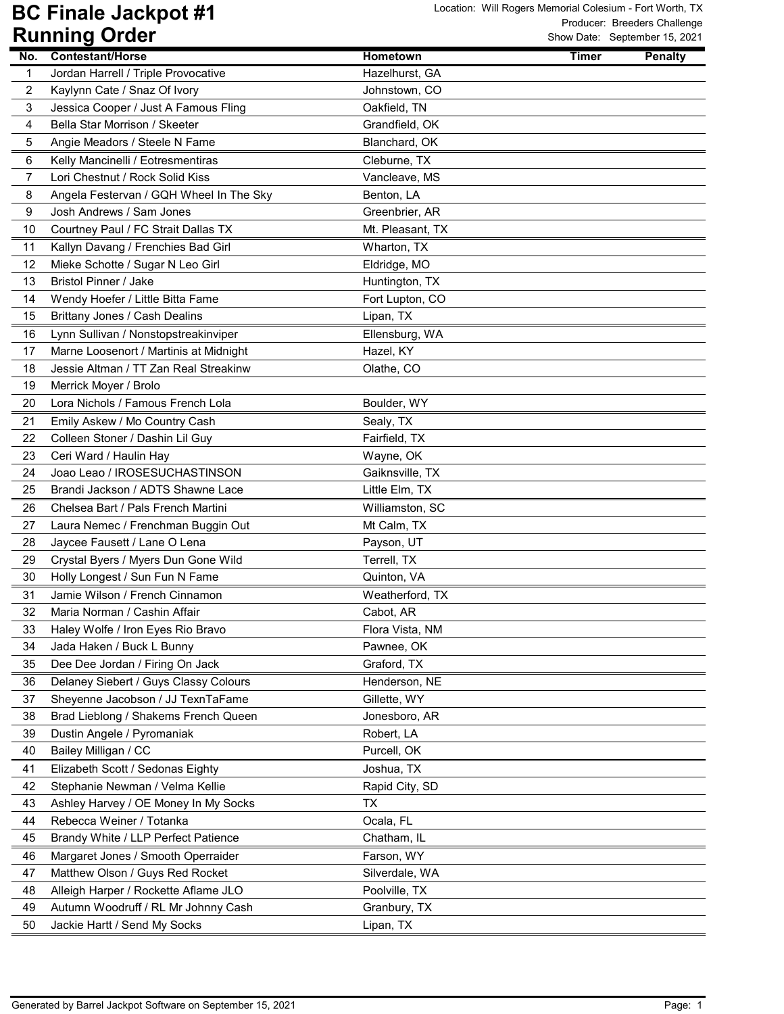| No. | <b>Contestant/Horse</b>                 | Hometown         | <b>Timer</b><br><b>Penalty</b> |
|-----|-----------------------------------------|------------------|--------------------------------|
| 1   | Jordan Harrell / Triple Provocative     | Hazelhurst, GA   |                                |
| 2   | Kaylynn Cate / Snaz Of Ivory            | Johnstown, CO    |                                |
| 3   | Jessica Cooper / Just A Famous Fling    | Oakfield, TN     |                                |
| 4   | Bella Star Morrison / Skeeter           | Grandfield, OK   |                                |
| 5   | Angie Meadors / Steele N Fame           | Blanchard, OK    |                                |
| 6   | Kelly Mancinelli / Eotresmentiras       | Cleburne, TX     |                                |
| 7   | Lori Chestnut / Rock Solid Kiss         | Vancleave, MS    |                                |
| 8   | Angela Festervan / GQH Wheel In The Sky | Benton, LA       |                                |
| 9   | Josh Andrews / Sam Jones                | Greenbrier, AR   |                                |
| 10  | Courtney Paul / FC Strait Dallas TX     | Mt. Pleasant, TX |                                |
| 11  | Kallyn Davang / Frenchies Bad Girl      | Wharton, TX      |                                |
| 12  | Mieke Schotte / Sugar N Leo Girl        | Eldridge, MO     |                                |
| 13  | <b>Bristol Pinner / Jake</b>            | Huntington, TX   |                                |
| 14  | Wendy Hoefer / Little Bitta Fame        | Fort Lupton, CO  |                                |
| 15  | Brittany Jones / Cash Dealins           | Lipan, TX        |                                |
| 16  | Lynn Sullivan / Nonstopstreakinviper    | Ellensburg, WA   |                                |
| 17  | Marne Loosenort / Martinis at Midnight  | Hazel, KY        |                                |
| 18  | Jessie Altman / TT Zan Real Streakinw   | Olathe, CO       |                                |
| 19  | Merrick Moyer / Brolo                   |                  |                                |
| 20  | Lora Nichols / Famous French Lola       | Boulder, WY      |                                |
| 21  | Emily Askew / Mo Country Cash           | Sealy, TX        |                                |
| 22  | Colleen Stoner / Dashin Lil Guy         | Fairfield, TX    |                                |
| 23  | Ceri Ward / Haulin Hay                  | Wayne, OK        |                                |
| 24  | Joao Leao / IROSESUCHASTINSON           | Gaiknsville, TX  |                                |
| 25  | Brandi Jackson / ADTS Shawne Lace       | Little Elm, TX   |                                |
| 26  | Chelsea Bart / Pals French Martini      | Williamston, SC  |                                |
| 27  | Laura Nemec / Frenchman Buggin Out      | Mt Calm, TX      |                                |
| 28  | Jaycee Fausett / Lane O Lena            | Payson, UT       |                                |
| 29  | Crystal Byers / Myers Dun Gone Wild     | Terrell, TX      |                                |
| 30  | Holly Longest / Sun Fun N Fame          | Quinton, VA      |                                |
| 31  | Jamie Wilson / French Cinnamon          | Weatherford, TX  |                                |
| 32  | Maria Norman / Cashin Affair            | Cabot, AR        |                                |
| 33  | Haley Wolfe / Iron Eyes Rio Bravo       | Flora Vista, NM  |                                |
| 34  | Jada Haken / Buck L Bunny               | Pawnee, OK       |                                |
| 35  | Dee Dee Jordan / Firing On Jack         | Graford, TX      |                                |
| 36  | Delaney Siebert / Guys Classy Colours   | Henderson, NE    |                                |
| 37  | Sheyenne Jacobson / JJ TexnTaFame       | Gillette, WY     |                                |
| 38  | Brad Lieblong / Shakems French Queen    | Jonesboro, AR    |                                |
| 39  | Dustin Angele / Pyromaniak              | Robert, LA       |                                |
| 40  | Bailey Milligan / CC                    | Purcell, OK      |                                |
| 41  | Elizabeth Scott / Sedonas Eighty        | Joshua, TX       |                                |
| 42  | Stephanie Newman / Velma Kellie         | Rapid City, SD   |                                |
| 43  | Ashley Harvey / OE Money In My Socks    | TX               |                                |
| 44  | Rebecca Weiner / Totanka                | Ocala, FL        |                                |
| 45  | Brandy White / LLP Perfect Patience     | Chatham, IL      |                                |
| 46  | Margaret Jones / Smooth Operraider      | Farson, WY       |                                |
| 47  | Matthew Olson / Guys Red Rocket         | Silverdale, WA   |                                |
| 48  | Alleigh Harper / Rockette Aflame JLO    | Poolville, TX    |                                |
| 49  | Autumn Woodruff / RL Mr Johnny Cash     | Granbury, TX     |                                |
| 50  | Jackie Hartt / Send My Socks            | Lipan, TX        |                                |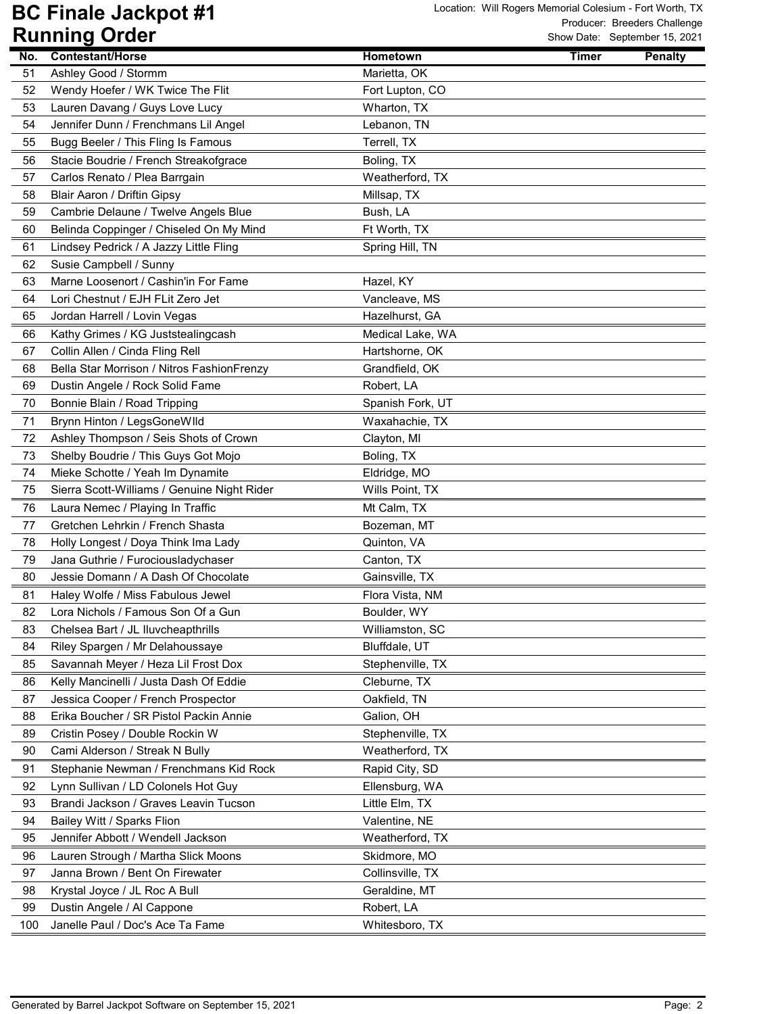| 51<br>Ashley Good / Stormm<br>Marietta, OK<br>52<br>Wendy Hoefer / WK Twice The Flit<br>Fort Lupton, CO<br>Lauren Davang / Guys Love Lucy<br>Wharton, TX<br>53<br>Jennifer Dunn / Frenchmans Lil Angel<br>54<br>Lebanon, TN<br>Bugg Beeler / This Fling Is Famous<br>Terrell, TX<br>55<br>Stacie Boudrie / French Streakofgrace<br>Boling, TX<br>56<br>Carlos Renato / Plea Barrgain<br>Weatherford, TX<br>57<br>58<br>Blair Aaron / Driftin Gipsy<br>Millsap, TX<br>Bush, LA<br>59<br>Cambrie Delaune / Twelve Angels Blue<br>Belinda Coppinger / Chiseled On My Mind<br>Ft Worth, TX<br>60<br>Lindsey Pedrick / A Jazzy Little Fling<br>61<br>Spring Hill, TN<br>62<br>Susie Campbell / Sunny<br>Marne Loosenort / Cashin'in For Fame<br>63<br>Hazel, KY<br>64<br>Lori Chestnut / EJH FLit Zero Jet<br>Vancleave, MS<br>65<br>Hazelhurst, GA<br>Jordan Harrell / Lovin Vegas<br>Kathy Grimes / KG Juststealingcash<br>Medical Lake, WA<br>66<br>67<br>Collin Allen / Cinda Fling Rell<br>Hartshorne, OK<br>Bella Star Morrison / Nitros FashionFrenzy<br>Grandfield, OK<br>68<br>Dustin Angele / Rock Solid Fame<br>Robert, LA<br>69<br>70<br>Bonnie Blain / Road Tripping<br>Spanish Fork, UT<br>Brynn Hinton / LegsGoneWlld<br>71<br>Waxahachie, TX<br>Ashley Thompson / Seis Shots of Crown<br>72<br>Clayton, MI<br>73<br>Shelby Boudrie / This Guys Got Mojo<br>Boling, TX<br>Mieke Schotte / Yeah Im Dynamite<br>74<br>Eldridge, MO<br>Sierra Scott-Williams / Genuine Night Rider<br>Wills Point, TX<br>75<br>Laura Nemec / Playing In Traffic<br>Mt Calm, TX<br>76<br>Gretchen Lehrkin / French Shasta<br>77<br>Bozeman, MT<br>Holly Longest / Doya Think Ima Lady<br>78<br>Quinton, VA<br>Jana Guthrie / Furociousladychaser<br>79<br>Canton, TX<br>80<br>Jessie Domann / A Dash Of Chocolate<br>Gainsville, TX<br>Haley Wolfe / Miss Fabulous Jewel<br>Flora Vista, NM<br>81<br>82<br>Lora Nichols / Famous Son Of a Gun<br>Boulder, WY<br>Chelsea Bart / JL Iluvcheapthrills<br>Williamston, SC<br>83<br>Bluffdale, UT<br>84<br>Riley Spargen / Mr Delahoussaye<br>Savannah Meyer / Heza Lil Frost Dox<br>85<br>Stephenville, TX<br>Kelly Mancinelli / Justa Dash Of Eddie<br>Cleburne, TX<br>86<br>Jessica Cooper / French Prospector<br>Oakfield, TN<br>87<br>Erika Boucher / SR Pistol Packin Annie<br>88<br>Galion, OH<br>89<br>Cristin Posey / Double Rockin W<br>Stephenville, TX<br>90<br>Cami Alderson / Streak N Bully<br>Weatherford, TX<br>Stephanie Newman / Frenchmans Kid Rock<br>91<br>Rapid City, SD<br>92<br>Lynn Sullivan / LD Colonels Hot Guy<br>Ellensburg, WA<br>93<br>Brandi Jackson / Graves Leavin Tucson<br>Little Elm, TX<br>94<br>Bailey Witt / Sparks Flion<br>Valentine, NE<br>Jennifer Abbott / Wendell Jackson<br>95<br>Weatherford, TX<br>Skidmore, MO<br>96<br>Lauren Strough / Martha Slick Moons<br>Janna Brown / Bent On Firewater<br>Collinsville, TX<br>97<br>98<br>Krystal Joyce / JL Roc A Bull<br>Geraldine, MT<br>Dustin Angele / Al Cappone<br>Robert, LA<br>99<br>Janelle Paul / Doc's Ace Ta Fame<br>100<br>Whitesboro, TX |     | nammy Uruci      |          |              | STIOW Date. September 19, 2021 |
|--------------------------------------------------------------------------------------------------------------------------------------------------------------------------------------------------------------------------------------------------------------------------------------------------------------------------------------------------------------------------------------------------------------------------------------------------------------------------------------------------------------------------------------------------------------------------------------------------------------------------------------------------------------------------------------------------------------------------------------------------------------------------------------------------------------------------------------------------------------------------------------------------------------------------------------------------------------------------------------------------------------------------------------------------------------------------------------------------------------------------------------------------------------------------------------------------------------------------------------------------------------------------------------------------------------------------------------------------------------------------------------------------------------------------------------------------------------------------------------------------------------------------------------------------------------------------------------------------------------------------------------------------------------------------------------------------------------------------------------------------------------------------------------------------------------------------------------------------------------------------------------------------------------------------------------------------------------------------------------------------------------------------------------------------------------------------------------------------------------------------------------------------------------------------------------------------------------------------------------------------------------------------------------------------------------------------------------------------------------------------------------------------------------------------------------------------------------------------------------------------------------------------------------------------------------------------------------------------------------------------------------------------------------------------------------------------------------------------------------------------------------------------------------------------------------------------------------------------------------------------------------------------------------------------------------------------------------------------------------------------------------------------------------------------------------------------------------|-----|------------------|----------|--------------|--------------------------------|
|                                                                                                                                                                                                                                                                                                                                                                                                                                                                                                                                                                                                                                                                                                                                                                                                                                                                                                                                                                                                                                                                                                                                                                                                                                                                                                                                                                                                                                                                                                                                                                                                                                                                                                                                                                                                                                                                                                                                                                                                                                                                                                                                                                                                                                                                                                                                                                                                                                                                                                                                                                                                                                                                                                                                                                                                                                                                                                                                                                                                                                                                                      | No. | Contestant/Horse | Hometown | <b>Timer</b> | <b>Penalty</b>                 |
|                                                                                                                                                                                                                                                                                                                                                                                                                                                                                                                                                                                                                                                                                                                                                                                                                                                                                                                                                                                                                                                                                                                                                                                                                                                                                                                                                                                                                                                                                                                                                                                                                                                                                                                                                                                                                                                                                                                                                                                                                                                                                                                                                                                                                                                                                                                                                                                                                                                                                                                                                                                                                                                                                                                                                                                                                                                                                                                                                                                                                                                                                      |     |                  |          |              |                                |
|                                                                                                                                                                                                                                                                                                                                                                                                                                                                                                                                                                                                                                                                                                                                                                                                                                                                                                                                                                                                                                                                                                                                                                                                                                                                                                                                                                                                                                                                                                                                                                                                                                                                                                                                                                                                                                                                                                                                                                                                                                                                                                                                                                                                                                                                                                                                                                                                                                                                                                                                                                                                                                                                                                                                                                                                                                                                                                                                                                                                                                                                                      |     |                  |          |              |                                |
|                                                                                                                                                                                                                                                                                                                                                                                                                                                                                                                                                                                                                                                                                                                                                                                                                                                                                                                                                                                                                                                                                                                                                                                                                                                                                                                                                                                                                                                                                                                                                                                                                                                                                                                                                                                                                                                                                                                                                                                                                                                                                                                                                                                                                                                                                                                                                                                                                                                                                                                                                                                                                                                                                                                                                                                                                                                                                                                                                                                                                                                                                      |     |                  |          |              |                                |
|                                                                                                                                                                                                                                                                                                                                                                                                                                                                                                                                                                                                                                                                                                                                                                                                                                                                                                                                                                                                                                                                                                                                                                                                                                                                                                                                                                                                                                                                                                                                                                                                                                                                                                                                                                                                                                                                                                                                                                                                                                                                                                                                                                                                                                                                                                                                                                                                                                                                                                                                                                                                                                                                                                                                                                                                                                                                                                                                                                                                                                                                                      |     |                  |          |              |                                |
|                                                                                                                                                                                                                                                                                                                                                                                                                                                                                                                                                                                                                                                                                                                                                                                                                                                                                                                                                                                                                                                                                                                                                                                                                                                                                                                                                                                                                                                                                                                                                                                                                                                                                                                                                                                                                                                                                                                                                                                                                                                                                                                                                                                                                                                                                                                                                                                                                                                                                                                                                                                                                                                                                                                                                                                                                                                                                                                                                                                                                                                                                      |     |                  |          |              |                                |
|                                                                                                                                                                                                                                                                                                                                                                                                                                                                                                                                                                                                                                                                                                                                                                                                                                                                                                                                                                                                                                                                                                                                                                                                                                                                                                                                                                                                                                                                                                                                                                                                                                                                                                                                                                                                                                                                                                                                                                                                                                                                                                                                                                                                                                                                                                                                                                                                                                                                                                                                                                                                                                                                                                                                                                                                                                                                                                                                                                                                                                                                                      |     |                  |          |              |                                |
|                                                                                                                                                                                                                                                                                                                                                                                                                                                                                                                                                                                                                                                                                                                                                                                                                                                                                                                                                                                                                                                                                                                                                                                                                                                                                                                                                                                                                                                                                                                                                                                                                                                                                                                                                                                                                                                                                                                                                                                                                                                                                                                                                                                                                                                                                                                                                                                                                                                                                                                                                                                                                                                                                                                                                                                                                                                                                                                                                                                                                                                                                      |     |                  |          |              |                                |
|                                                                                                                                                                                                                                                                                                                                                                                                                                                                                                                                                                                                                                                                                                                                                                                                                                                                                                                                                                                                                                                                                                                                                                                                                                                                                                                                                                                                                                                                                                                                                                                                                                                                                                                                                                                                                                                                                                                                                                                                                                                                                                                                                                                                                                                                                                                                                                                                                                                                                                                                                                                                                                                                                                                                                                                                                                                                                                                                                                                                                                                                                      |     |                  |          |              |                                |
|                                                                                                                                                                                                                                                                                                                                                                                                                                                                                                                                                                                                                                                                                                                                                                                                                                                                                                                                                                                                                                                                                                                                                                                                                                                                                                                                                                                                                                                                                                                                                                                                                                                                                                                                                                                                                                                                                                                                                                                                                                                                                                                                                                                                                                                                                                                                                                                                                                                                                                                                                                                                                                                                                                                                                                                                                                                                                                                                                                                                                                                                                      |     |                  |          |              |                                |
|                                                                                                                                                                                                                                                                                                                                                                                                                                                                                                                                                                                                                                                                                                                                                                                                                                                                                                                                                                                                                                                                                                                                                                                                                                                                                                                                                                                                                                                                                                                                                                                                                                                                                                                                                                                                                                                                                                                                                                                                                                                                                                                                                                                                                                                                                                                                                                                                                                                                                                                                                                                                                                                                                                                                                                                                                                                                                                                                                                                                                                                                                      |     |                  |          |              |                                |
|                                                                                                                                                                                                                                                                                                                                                                                                                                                                                                                                                                                                                                                                                                                                                                                                                                                                                                                                                                                                                                                                                                                                                                                                                                                                                                                                                                                                                                                                                                                                                                                                                                                                                                                                                                                                                                                                                                                                                                                                                                                                                                                                                                                                                                                                                                                                                                                                                                                                                                                                                                                                                                                                                                                                                                                                                                                                                                                                                                                                                                                                                      |     |                  |          |              |                                |
|                                                                                                                                                                                                                                                                                                                                                                                                                                                                                                                                                                                                                                                                                                                                                                                                                                                                                                                                                                                                                                                                                                                                                                                                                                                                                                                                                                                                                                                                                                                                                                                                                                                                                                                                                                                                                                                                                                                                                                                                                                                                                                                                                                                                                                                                                                                                                                                                                                                                                                                                                                                                                                                                                                                                                                                                                                                                                                                                                                                                                                                                                      |     |                  |          |              |                                |
|                                                                                                                                                                                                                                                                                                                                                                                                                                                                                                                                                                                                                                                                                                                                                                                                                                                                                                                                                                                                                                                                                                                                                                                                                                                                                                                                                                                                                                                                                                                                                                                                                                                                                                                                                                                                                                                                                                                                                                                                                                                                                                                                                                                                                                                                                                                                                                                                                                                                                                                                                                                                                                                                                                                                                                                                                                                                                                                                                                                                                                                                                      |     |                  |          |              |                                |
|                                                                                                                                                                                                                                                                                                                                                                                                                                                                                                                                                                                                                                                                                                                                                                                                                                                                                                                                                                                                                                                                                                                                                                                                                                                                                                                                                                                                                                                                                                                                                                                                                                                                                                                                                                                                                                                                                                                                                                                                                                                                                                                                                                                                                                                                                                                                                                                                                                                                                                                                                                                                                                                                                                                                                                                                                                                                                                                                                                                                                                                                                      |     |                  |          |              |                                |
|                                                                                                                                                                                                                                                                                                                                                                                                                                                                                                                                                                                                                                                                                                                                                                                                                                                                                                                                                                                                                                                                                                                                                                                                                                                                                                                                                                                                                                                                                                                                                                                                                                                                                                                                                                                                                                                                                                                                                                                                                                                                                                                                                                                                                                                                                                                                                                                                                                                                                                                                                                                                                                                                                                                                                                                                                                                                                                                                                                                                                                                                                      |     |                  |          |              |                                |
|                                                                                                                                                                                                                                                                                                                                                                                                                                                                                                                                                                                                                                                                                                                                                                                                                                                                                                                                                                                                                                                                                                                                                                                                                                                                                                                                                                                                                                                                                                                                                                                                                                                                                                                                                                                                                                                                                                                                                                                                                                                                                                                                                                                                                                                                                                                                                                                                                                                                                                                                                                                                                                                                                                                                                                                                                                                                                                                                                                                                                                                                                      |     |                  |          |              |                                |
|                                                                                                                                                                                                                                                                                                                                                                                                                                                                                                                                                                                                                                                                                                                                                                                                                                                                                                                                                                                                                                                                                                                                                                                                                                                                                                                                                                                                                                                                                                                                                                                                                                                                                                                                                                                                                                                                                                                                                                                                                                                                                                                                                                                                                                                                                                                                                                                                                                                                                                                                                                                                                                                                                                                                                                                                                                                                                                                                                                                                                                                                                      |     |                  |          |              |                                |
|                                                                                                                                                                                                                                                                                                                                                                                                                                                                                                                                                                                                                                                                                                                                                                                                                                                                                                                                                                                                                                                                                                                                                                                                                                                                                                                                                                                                                                                                                                                                                                                                                                                                                                                                                                                                                                                                                                                                                                                                                                                                                                                                                                                                                                                                                                                                                                                                                                                                                                                                                                                                                                                                                                                                                                                                                                                                                                                                                                                                                                                                                      |     |                  |          |              |                                |
|                                                                                                                                                                                                                                                                                                                                                                                                                                                                                                                                                                                                                                                                                                                                                                                                                                                                                                                                                                                                                                                                                                                                                                                                                                                                                                                                                                                                                                                                                                                                                                                                                                                                                                                                                                                                                                                                                                                                                                                                                                                                                                                                                                                                                                                                                                                                                                                                                                                                                                                                                                                                                                                                                                                                                                                                                                                                                                                                                                                                                                                                                      |     |                  |          |              |                                |
|                                                                                                                                                                                                                                                                                                                                                                                                                                                                                                                                                                                                                                                                                                                                                                                                                                                                                                                                                                                                                                                                                                                                                                                                                                                                                                                                                                                                                                                                                                                                                                                                                                                                                                                                                                                                                                                                                                                                                                                                                                                                                                                                                                                                                                                                                                                                                                                                                                                                                                                                                                                                                                                                                                                                                                                                                                                                                                                                                                                                                                                                                      |     |                  |          |              |                                |
|                                                                                                                                                                                                                                                                                                                                                                                                                                                                                                                                                                                                                                                                                                                                                                                                                                                                                                                                                                                                                                                                                                                                                                                                                                                                                                                                                                                                                                                                                                                                                                                                                                                                                                                                                                                                                                                                                                                                                                                                                                                                                                                                                                                                                                                                                                                                                                                                                                                                                                                                                                                                                                                                                                                                                                                                                                                                                                                                                                                                                                                                                      |     |                  |          |              |                                |
|                                                                                                                                                                                                                                                                                                                                                                                                                                                                                                                                                                                                                                                                                                                                                                                                                                                                                                                                                                                                                                                                                                                                                                                                                                                                                                                                                                                                                                                                                                                                                                                                                                                                                                                                                                                                                                                                                                                                                                                                                                                                                                                                                                                                                                                                                                                                                                                                                                                                                                                                                                                                                                                                                                                                                                                                                                                                                                                                                                                                                                                                                      |     |                  |          |              |                                |
|                                                                                                                                                                                                                                                                                                                                                                                                                                                                                                                                                                                                                                                                                                                                                                                                                                                                                                                                                                                                                                                                                                                                                                                                                                                                                                                                                                                                                                                                                                                                                                                                                                                                                                                                                                                                                                                                                                                                                                                                                                                                                                                                                                                                                                                                                                                                                                                                                                                                                                                                                                                                                                                                                                                                                                                                                                                                                                                                                                                                                                                                                      |     |                  |          |              |                                |
|                                                                                                                                                                                                                                                                                                                                                                                                                                                                                                                                                                                                                                                                                                                                                                                                                                                                                                                                                                                                                                                                                                                                                                                                                                                                                                                                                                                                                                                                                                                                                                                                                                                                                                                                                                                                                                                                                                                                                                                                                                                                                                                                                                                                                                                                                                                                                                                                                                                                                                                                                                                                                                                                                                                                                                                                                                                                                                                                                                                                                                                                                      |     |                  |          |              |                                |
|                                                                                                                                                                                                                                                                                                                                                                                                                                                                                                                                                                                                                                                                                                                                                                                                                                                                                                                                                                                                                                                                                                                                                                                                                                                                                                                                                                                                                                                                                                                                                                                                                                                                                                                                                                                                                                                                                                                                                                                                                                                                                                                                                                                                                                                                                                                                                                                                                                                                                                                                                                                                                                                                                                                                                                                                                                                                                                                                                                                                                                                                                      |     |                  |          |              |                                |
|                                                                                                                                                                                                                                                                                                                                                                                                                                                                                                                                                                                                                                                                                                                                                                                                                                                                                                                                                                                                                                                                                                                                                                                                                                                                                                                                                                                                                                                                                                                                                                                                                                                                                                                                                                                                                                                                                                                                                                                                                                                                                                                                                                                                                                                                                                                                                                                                                                                                                                                                                                                                                                                                                                                                                                                                                                                                                                                                                                                                                                                                                      |     |                  |          |              |                                |
|                                                                                                                                                                                                                                                                                                                                                                                                                                                                                                                                                                                                                                                                                                                                                                                                                                                                                                                                                                                                                                                                                                                                                                                                                                                                                                                                                                                                                                                                                                                                                                                                                                                                                                                                                                                                                                                                                                                                                                                                                                                                                                                                                                                                                                                                                                                                                                                                                                                                                                                                                                                                                                                                                                                                                                                                                                                                                                                                                                                                                                                                                      |     |                  |          |              |                                |
|                                                                                                                                                                                                                                                                                                                                                                                                                                                                                                                                                                                                                                                                                                                                                                                                                                                                                                                                                                                                                                                                                                                                                                                                                                                                                                                                                                                                                                                                                                                                                                                                                                                                                                                                                                                                                                                                                                                                                                                                                                                                                                                                                                                                                                                                                                                                                                                                                                                                                                                                                                                                                                                                                                                                                                                                                                                                                                                                                                                                                                                                                      |     |                  |          |              |                                |
|                                                                                                                                                                                                                                                                                                                                                                                                                                                                                                                                                                                                                                                                                                                                                                                                                                                                                                                                                                                                                                                                                                                                                                                                                                                                                                                                                                                                                                                                                                                                                                                                                                                                                                                                                                                                                                                                                                                                                                                                                                                                                                                                                                                                                                                                                                                                                                                                                                                                                                                                                                                                                                                                                                                                                                                                                                                                                                                                                                                                                                                                                      |     |                  |          |              |                                |
|                                                                                                                                                                                                                                                                                                                                                                                                                                                                                                                                                                                                                                                                                                                                                                                                                                                                                                                                                                                                                                                                                                                                                                                                                                                                                                                                                                                                                                                                                                                                                                                                                                                                                                                                                                                                                                                                                                                                                                                                                                                                                                                                                                                                                                                                                                                                                                                                                                                                                                                                                                                                                                                                                                                                                                                                                                                                                                                                                                                                                                                                                      |     |                  |          |              |                                |
|                                                                                                                                                                                                                                                                                                                                                                                                                                                                                                                                                                                                                                                                                                                                                                                                                                                                                                                                                                                                                                                                                                                                                                                                                                                                                                                                                                                                                                                                                                                                                                                                                                                                                                                                                                                                                                                                                                                                                                                                                                                                                                                                                                                                                                                                                                                                                                                                                                                                                                                                                                                                                                                                                                                                                                                                                                                                                                                                                                                                                                                                                      |     |                  |          |              |                                |
|                                                                                                                                                                                                                                                                                                                                                                                                                                                                                                                                                                                                                                                                                                                                                                                                                                                                                                                                                                                                                                                                                                                                                                                                                                                                                                                                                                                                                                                                                                                                                                                                                                                                                                                                                                                                                                                                                                                                                                                                                                                                                                                                                                                                                                                                                                                                                                                                                                                                                                                                                                                                                                                                                                                                                                                                                                                                                                                                                                                                                                                                                      |     |                  |          |              |                                |
|                                                                                                                                                                                                                                                                                                                                                                                                                                                                                                                                                                                                                                                                                                                                                                                                                                                                                                                                                                                                                                                                                                                                                                                                                                                                                                                                                                                                                                                                                                                                                                                                                                                                                                                                                                                                                                                                                                                                                                                                                                                                                                                                                                                                                                                                                                                                                                                                                                                                                                                                                                                                                                                                                                                                                                                                                                                                                                                                                                                                                                                                                      |     |                  |          |              |                                |
|                                                                                                                                                                                                                                                                                                                                                                                                                                                                                                                                                                                                                                                                                                                                                                                                                                                                                                                                                                                                                                                                                                                                                                                                                                                                                                                                                                                                                                                                                                                                                                                                                                                                                                                                                                                                                                                                                                                                                                                                                                                                                                                                                                                                                                                                                                                                                                                                                                                                                                                                                                                                                                                                                                                                                                                                                                                                                                                                                                                                                                                                                      |     |                  |          |              |                                |
|                                                                                                                                                                                                                                                                                                                                                                                                                                                                                                                                                                                                                                                                                                                                                                                                                                                                                                                                                                                                                                                                                                                                                                                                                                                                                                                                                                                                                                                                                                                                                                                                                                                                                                                                                                                                                                                                                                                                                                                                                                                                                                                                                                                                                                                                                                                                                                                                                                                                                                                                                                                                                                                                                                                                                                                                                                                                                                                                                                                                                                                                                      |     |                  |          |              |                                |
|                                                                                                                                                                                                                                                                                                                                                                                                                                                                                                                                                                                                                                                                                                                                                                                                                                                                                                                                                                                                                                                                                                                                                                                                                                                                                                                                                                                                                                                                                                                                                                                                                                                                                                                                                                                                                                                                                                                                                                                                                                                                                                                                                                                                                                                                                                                                                                                                                                                                                                                                                                                                                                                                                                                                                                                                                                                                                                                                                                                                                                                                                      |     |                  |          |              |                                |
|                                                                                                                                                                                                                                                                                                                                                                                                                                                                                                                                                                                                                                                                                                                                                                                                                                                                                                                                                                                                                                                                                                                                                                                                                                                                                                                                                                                                                                                                                                                                                                                                                                                                                                                                                                                                                                                                                                                                                                                                                                                                                                                                                                                                                                                                                                                                                                                                                                                                                                                                                                                                                                                                                                                                                                                                                                                                                                                                                                                                                                                                                      |     |                  |          |              |                                |
|                                                                                                                                                                                                                                                                                                                                                                                                                                                                                                                                                                                                                                                                                                                                                                                                                                                                                                                                                                                                                                                                                                                                                                                                                                                                                                                                                                                                                                                                                                                                                                                                                                                                                                                                                                                                                                                                                                                                                                                                                                                                                                                                                                                                                                                                                                                                                                                                                                                                                                                                                                                                                                                                                                                                                                                                                                                                                                                                                                                                                                                                                      |     |                  |          |              |                                |
|                                                                                                                                                                                                                                                                                                                                                                                                                                                                                                                                                                                                                                                                                                                                                                                                                                                                                                                                                                                                                                                                                                                                                                                                                                                                                                                                                                                                                                                                                                                                                                                                                                                                                                                                                                                                                                                                                                                                                                                                                                                                                                                                                                                                                                                                                                                                                                                                                                                                                                                                                                                                                                                                                                                                                                                                                                                                                                                                                                                                                                                                                      |     |                  |          |              |                                |
|                                                                                                                                                                                                                                                                                                                                                                                                                                                                                                                                                                                                                                                                                                                                                                                                                                                                                                                                                                                                                                                                                                                                                                                                                                                                                                                                                                                                                                                                                                                                                                                                                                                                                                                                                                                                                                                                                                                                                                                                                                                                                                                                                                                                                                                                                                                                                                                                                                                                                                                                                                                                                                                                                                                                                                                                                                                                                                                                                                                                                                                                                      |     |                  |          |              |                                |
|                                                                                                                                                                                                                                                                                                                                                                                                                                                                                                                                                                                                                                                                                                                                                                                                                                                                                                                                                                                                                                                                                                                                                                                                                                                                                                                                                                                                                                                                                                                                                                                                                                                                                                                                                                                                                                                                                                                                                                                                                                                                                                                                                                                                                                                                                                                                                                                                                                                                                                                                                                                                                                                                                                                                                                                                                                                                                                                                                                                                                                                                                      |     |                  |          |              |                                |
|                                                                                                                                                                                                                                                                                                                                                                                                                                                                                                                                                                                                                                                                                                                                                                                                                                                                                                                                                                                                                                                                                                                                                                                                                                                                                                                                                                                                                                                                                                                                                                                                                                                                                                                                                                                                                                                                                                                                                                                                                                                                                                                                                                                                                                                                                                                                                                                                                                                                                                                                                                                                                                                                                                                                                                                                                                                                                                                                                                                                                                                                                      |     |                  |          |              |                                |
|                                                                                                                                                                                                                                                                                                                                                                                                                                                                                                                                                                                                                                                                                                                                                                                                                                                                                                                                                                                                                                                                                                                                                                                                                                                                                                                                                                                                                                                                                                                                                                                                                                                                                                                                                                                                                                                                                                                                                                                                                                                                                                                                                                                                                                                                                                                                                                                                                                                                                                                                                                                                                                                                                                                                                                                                                                                                                                                                                                                                                                                                                      |     |                  |          |              |                                |
|                                                                                                                                                                                                                                                                                                                                                                                                                                                                                                                                                                                                                                                                                                                                                                                                                                                                                                                                                                                                                                                                                                                                                                                                                                                                                                                                                                                                                                                                                                                                                                                                                                                                                                                                                                                                                                                                                                                                                                                                                                                                                                                                                                                                                                                                                                                                                                                                                                                                                                                                                                                                                                                                                                                                                                                                                                                                                                                                                                                                                                                                                      |     |                  |          |              |                                |
|                                                                                                                                                                                                                                                                                                                                                                                                                                                                                                                                                                                                                                                                                                                                                                                                                                                                                                                                                                                                                                                                                                                                                                                                                                                                                                                                                                                                                                                                                                                                                                                                                                                                                                                                                                                                                                                                                                                                                                                                                                                                                                                                                                                                                                                                                                                                                                                                                                                                                                                                                                                                                                                                                                                                                                                                                                                                                                                                                                                                                                                                                      |     |                  |          |              |                                |
|                                                                                                                                                                                                                                                                                                                                                                                                                                                                                                                                                                                                                                                                                                                                                                                                                                                                                                                                                                                                                                                                                                                                                                                                                                                                                                                                                                                                                                                                                                                                                                                                                                                                                                                                                                                                                                                                                                                                                                                                                                                                                                                                                                                                                                                                                                                                                                                                                                                                                                                                                                                                                                                                                                                                                                                                                                                                                                                                                                                                                                                                                      |     |                  |          |              |                                |
|                                                                                                                                                                                                                                                                                                                                                                                                                                                                                                                                                                                                                                                                                                                                                                                                                                                                                                                                                                                                                                                                                                                                                                                                                                                                                                                                                                                                                                                                                                                                                                                                                                                                                                                                                                                                                                                                                                                                                                                                                                                                                                                                                                                                                                                                                                                                                                                                                                                                                                                                                                                                                                                                                                                                                                                                                                                                                                                                                                                                                                                                                      |     |                  |          |              |                                |
|                                                                                                                                                                                                                                                                                                                                                                                                                                                                                                                                                                                                                                                                                                                                                                                                                                                                                                                                                                                                                                                                                                                                                                                                                                                                                                                                                                                                                                                                                                                                                                                                                                                                                                                                                                                                                                                                                                                                                                                                                                                                                                                                                                                                                                                                                                                                                                                                                                                                                                                                                                                                                                                                                                                                                                                                                                                                                                                                                                                                                                                                                      |     |                  |          |              |                                |
|                                                                                                                                                                                                                                                                                                                                                                                                                                                                                                                                                                                                                                                                                                                                                                                                                                                                                                                                                                                                                                                                                                                                                                                                                                                                                                                                                                                                                                                                                                                                                                                                                                                                                                                                                                                                                                                                                                                                                                                                                                                                                                                                                                                                                                                                                                                                                                                                                                                                                                                                                                                                                                                                                                                                                                                                                                                                                                                                                                                                                                                                                      |     |                  |          |              |                                |
|                                                                                                                                                                                                                                                                                                                                                                                                                                                                                                                                                                                                                                                                                                                                                                                                                                                                                                                                                                                                                                                                                                                                                                                                                                                                                                                                                                                                                                                                                                                                                                                                                                                                                                                                                                                                                                                                                                                                                                                                                                                                                                                                                                                                                                                                                                                                                                                                                                                                                                                                                                                                                                                                                                                                                                                                                                                                                                                                                                                                                                                                                      |     |                  |          |              |                                |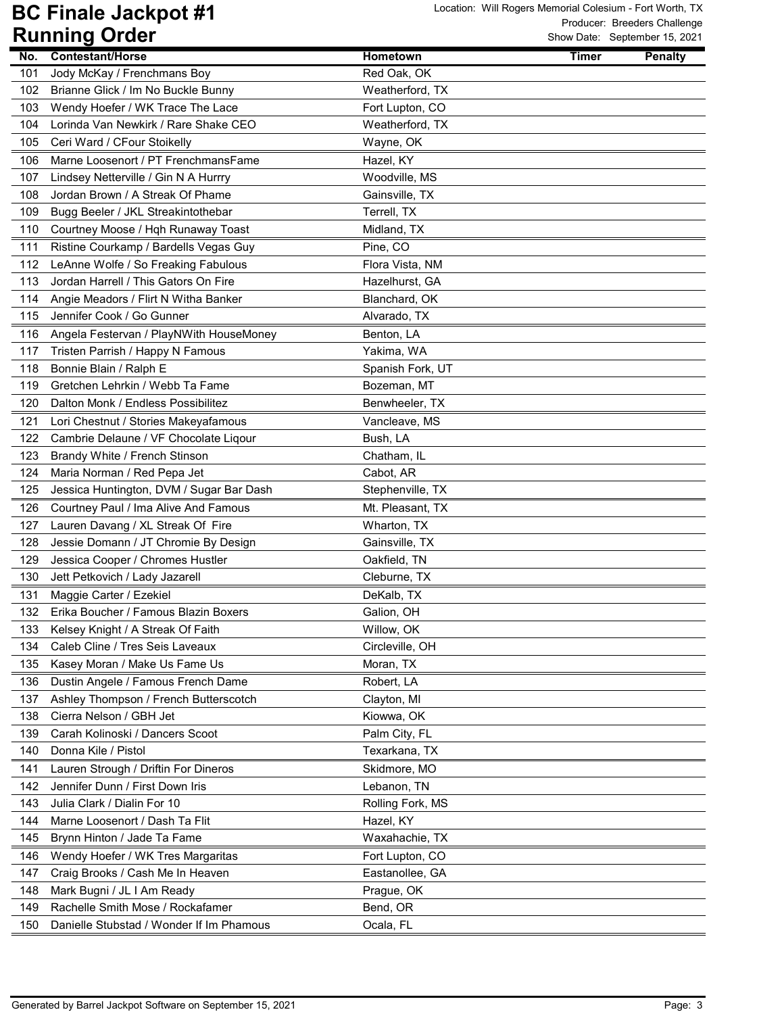| Jody McKay / Frenchmans Boy<br>101<br>Red Oak, OK<br>Brianne Glick / Im No Buckle Bunny<br>Weatherford, TX<br>102<br>Wendy Hoefer / WK Trace The Lace<br>Fort Lupton, CO<br>103<br>104<br>Lorinda Van Newkirk / Rare Shake CEO<br>Weatherford, TX<br>105<br>Ceri Ward / CFour Stoikelly<br>Wayne, OK<br>Marne Loosenort / PT FrenchmansFame<br>Hazel, KY<br>106<br>Lindsey Netterville / Gin N A Hurrry<br>Woodville, MS<br>107<br>108<br>Jordan Brown / A Streak Of Phame<br>Gainsville, TX<br>109<br>Bugg Beeler / JKL Streakintothebar<br>Terrell, TX<br>Courtney Moose / Hqh Runaway Toast<br>110<br>Midland, TX<br>111<br>Ristine Courkamp / Bardells Vegas Guy<br>Pine, CO<br>112<br>LeAnne Wolfe / So Freaking Fabulous<br>Flora Vista, NM<br>113<br>Jordan Harrell / This Gators On Fire<br>Hazelhurst, GA<br>114<br>Angie Meadors / Flirt N Witha Banker<br>Blanchard, OK<br>115<br>Jennifer Cook / Go Gunner<br>Alvarado, TX<br>116<br>Angela Festervan / PlayNWith HouseMoney<br>Benton, LA<br>Tristen Parrish / Happy N Famous<br>Yakima, WA<br>117<br>118<br>Bonnie Blain / Ralph E<br>Spanish Fork, UT<br>119<br>Gretchen Lehrkin / Webb Ta Fame<br>Bozeman, MT<br>120<br>Dalton Monk / Endless Possibilitez<br>Benwheeler, TX<br>Vancleave, MS<br>121<br>Lori Chestnut / Stories Makeyafamous<br>Cambrie Delaune / VF Chocolate Liqour<br>Bush, LA<br>122<br>123<br>Brandy White / French Stinson<br>Chatham, IL<br>124<br>Maria Norman / Red Pepa Jet<br>Cabot, AR<br>Jessica Huntington, DVM / Sugar Bar Dash<br>Stephenville, TX<br>125<br>126<br>Courtney Paul / Ima Alive And Famous<br>Mt. Pleasant, TX<br>127<br>Lauren Davang / XL Streak Of Fire<br>Wharton, TX<br>Jessie Domann / JT Chromie By Design<br>128<br>Gainsville, TX<br>Oakfield, TN<br>129<br>Jessica Cooper / Chromes Hustler<br>130<br>Jett Petkovich / Lady Jazarell<br>Cleburne, TX<br>131<br>Maggie Carter / Ezekiel<br>DeKalb, TX<br>132<br>Erika Boucher / Famous Blazin Boxers<br>Galion, OH<br>Kelsey Knight / A Streak Of Faith<br>Willow, OK<br>133<br>134<br>Caleb Cline / Tres Seis Laveaux<br>Circleville, OH<br>135<br>Kasey Moran / Make Us Fame Us<br>Moran, TX<br>Dustin Angele / Famous French Dame<br>Robert, LA<br>136<br>Ashley Thompson / French Butterscotch<br>137<br>Clayton, MI<br>Cierra Nelson / GBH Jet<br>Kiowwa, OK<br>138<br>139<br>Carah Kolinoski / Dancers Scoot<br>Palm City, FL<br>Donna Kile / Pistol<br>Texarkana, TX<br>140<br>141<br>Lauren Strough / Driftin For Dineros<br>Skidmore, MO<br>142<br>Jennifer Dunn / First Down Iris<br>Lebanon, TN<br>Julia Clark / Dialin For 10<br>143<br>Rolling Fork, MS<br>Marne Loosenort / Dash Ta Flit<br>144<br>Hazel, KY<br>Brynn Hinton / Jade Ta Fame<br>145<br>Waxahachie, TX<br>Wendy Hoefer / WK Tres Margaritas<br>146<br>Fort Lupton, CO<br>147<br>Craig Brooks / Cash Me In Heaven<br>Eastanollee, GA<br>Mark Bugni / JL I Am Ready<br>148<br>Prague, OK<br>149<br>Rachelle Smith Mose / Rockafamer<br>Bend, OR<br>150<br>Danielle Stubstad / Wonder If Im Phamous<br>Ocala, FL |     | ושטוש שומווויוש  |          |              | STOW Date. September 13, 2021 |
|------------------------------------------------------------------------------------------------------------------------------------------------------------------------------------------------------------------------------------------------------------------------------------------------------------------------------------------------------------------------------------------------------------------------------------------------------------------------------------------------------------------------------------------------------------------------------------------------------------------------------------------------------------------------------------------------------------------------------------------------------------------------------------------------------------------------------------------------------------------------------------------------------------------------------------------------------------------------------------------------------------------------------------------------------------------------------------------------------------------------------------------------------------------------------------------------------------------------------------------------------------------------------------------------------------------------------------------------------------------------------------------------------------------------------------------------------------------------------------------------------------------------------------------------------------------------------------------------------------------------------------------------------------------------------------------------------------------------------------------------------------------------------------------------------------------------------------------------------------------------------------------------------------------------------------------------------------------------------------------------------------------------------------------------------------------------------------------------------------------------------------------------------------------------------------------------------------------------------------------------------------------------------------------------------------------------------------------------------------------------------------------------------------------------------------------------------------------------------------------------------------------------------------------------------------------------------------------------------------------------------------------------------------------------------------------------------------------------------------------------------------------------------------------------------------------------------------------------------------------------------------------------------------------------------------------------------------------------------------------------------------------------------------------------------------------|-----|------------------|----------|--------------|-------------------------------|
|                                                                                                                                                                                                                                                                                                                                                                                                                                                                                                                                                                                                                                                                                                                                                                                                                                                                                                                                                                                                                                                                                                                                                                                                                                                                                                                                                                                                                                                                                                                                                                                                                                                                                                                                                                                                                                                                                                                                                                                                                                                                                                                                                                                                                                                                                                                                                                                                                                                                                                                                                                                                                                                                                                                                                                                                                                                                                                                                                                                                                                                                  | No. | Contestant/Horse | Hometown | <b>Timer</b> | <b>Penalty</b>                |
|                                                                                                                                                                                                                                                                                                                                                                                                                                                                                                                                                                                                                                                                                                                                                                                                                                                                                                                                                                                                                                                                                                                                                                                                                                                                                                                                                                                                                                                                                                                                                                                                                                                                                                                                                                                                                                                                                                                                                                                                                                                                                                                                                                                                                                                                                                                                                                                                                                                                                                                                                                                                                                                                                                                                                                                                                                                                                                                                                                                                                                                                  |     |                  |          |              |                               |
|                                                                                                                                                                                                                                                                                                                                                                                                                                                                                                                                                                                                                                                                                                                                                                                                                                                                                                                                                                                                                                                                                                                                                                                                                                                                                                                                                                                                                                                                                                                                                                                                                                                                                                                                                                                                                                                                                                                                                                                                                                                                                                                                                                                                                                                                                                                                                                                                                                                                                                                                                                                                                                                                                                                                                                                                                                                                                                                                                                                                                                                                  |     |                  |          |              |                               |
|                                                                                                                                                                                                                                                                                                                                                                                                                                                                                                                                                                                                                                                                                                                                                                                                                                                                                                                                                                                                                                                                                                                                                                                                                                                                                                                                                                                                                                                                                                                                                                                                                                                                                                                                                                                                                                                                                                                                                                                                                                                                                                                                                                                                                                                                                                                                                                                                                                                                                                                                                                                                                                                                                                                                                                                                                                                                                                                                                                                                                                                                  |     |                  |          |              |                               |
|                                                                                                                                                                                                                                                                                                                                                                                                                                                                                                                                                                                                                                                                                                                                                                                                                                                                                                                                                                                                                                                                                                                                                                                                                                                                                                                                                                                                                                                                                                                                                                                                                                                                                                                                                                                                                                                                                                                                                                                                                                                                                                                                                                                                                                                                                                                                                                                                                                                                                                                                                                                                                                                                                                                                                                                                                                                                                                                                                                                                                                                                  |     |                  |          |              |                               |
|                                                                                                                                                                                                                                                                                                                                                                                                                                                                                                                                                                                                                                                                                                                                                                                                                                                                                                                                                                                                                                                                                                                                                                                                                                                                                                                                                                                                                                                                                                                                                                                                                                                                                                                                                                                                                                                                                                                                                                                                                                                                                                                                                                                                                                                                                                                                                                                                                                                                                                                                                                                                                                                                                                                                                                                                                                                                                                                                                                                                                                                                  |     |                  |          |              |                               |
|                                                                                                                                                                                                                                                                                                                                                                                                                                                                                                                                                                                                                                                                                                                                                                                                                                                                                                                                                                                                                                                                                                                                                                                                                                                                                                                                                                                                                                                                                                                                                                                                                                                                                                                                                                                                                                                                                                                                                                                                                                                                                                                                                                                                                                                                                                                                                                                                                                                                                                                                                                                                                                                                                                                                                                                                                                                                                                                                                                                                                                                                  |     |                  |          |              |                               |
|                                                                                                                                                                                                                                                                                                                                                                                                                                                                                                                                                                                                                                                                                                                                                                                                                                                                                                                                                                                                                                                                                                                                                                                                                                                                                                                                                                                                                                                                                                                                                                                                                                                                                                                                                                                                                                                                                                                                                                                                                                                                                                                                                                                                                                                                                                                                                                                                                                                                                                                                                                                                                                                                                                                                                                                                                                                                                                                                                                                                                                                                  |     |                  |          |              |                               |
|                                                                                                                                                                                                                                                                                                                                                                                                                                                                                                                                                                                                                                                                                                                                                                                                                                                                                                                                                                                                                                                                                                                                                                                                                                                                                                                                                                                                                                                                                                                                                                                                                                                                                                                                                                                                                                                                                                                                                                                                                                                                                                                                                                                                                                                                                                                                                                                                                                                                                                                                                                                                                                                                                                                                                                                                                                                                                                                                                                                                                                                                  |     |                  |          |              |                               |
|                                                                                                                                                                                                                                                                                                                                                                                                                                                                                                                                                                                                                                                                                                                                                                                                                                                                                                                                                                                                                                                                                                                                                                                                                                                                                                                                                                                                                                                                                                                                                                                                                                                                                                                                                                                                                                                                                                                                                                                                                                                                                                                                                                                                                                                                                                                                                                                                                                                                                                                                                                                                                                                                                                                                                                                                                                                                                                                                                                                                                                                                  |     |                  |          |              |                               |
|                                                                                                                                                                                                                                                                                                                                                                                                                                                                                                                                                                                                                                                                                                                                                                                                                                                                                                                                                                                                                                                                                                                                                                                                                                                                                                                                                                                                                                                                                                                                                                                                                                                                                                                                                                                                                                                                                                                                                                                                                                                                                                                                                                                                                                                                                                                                                                                                                                                                                                                                                                                                                                                                                                                                                                                                                                                                                                                                                                                                                                                                  |     |                  |          |              |                               |
|                                                                                                                                                                                                                                                                                                                                                                                                                                                                                                                                                                                                                                                                                                                                                                                                                                                                                                                                                                                                                                                                                                                                                                                                                                                                                                                                                                                                                                                                                                                                                                                                                                                                                                                                                                                                                                                                                                                                                                                                                                                                                                                                                                                                                                                                                                                                                                                                                                                                                                                                                                                                                                                                                                                                                                                                                                                                                                                                                                                                                                                                  |     |                  |          |              |                               |
|                                                                                                                                                                                                                                                                                                                                                                                                                                                                                                                                                                                                                                                                                                                                                                                                                                                                                                                                                                                                                                                                                                                                                                                                                                                                                                                                                                                                                                                                                                                                                                                                                                                                                                                                                                                                                                                                                                                                                                                                                                                                                                                                                                                                                                                                                                                                                                                                                                                                                                                                                                                                                                                                                                                                                                                                                                                                                                                                                                                                                                                                  |     |                  |          |              |                               |
|                                                                                                                                                                                                                                                                                                                                                                                                                                                                                                                                                                                                                                                                                                                                                                                                                                                                                                                                                                                                                                                                                                                                                                                                                                                                                                                                                                                                                                                                                                                                                                                                                                                                                                                                                                                                                                                                                                                                                                                                                                                                                                                                                                                                                                                                                                                                                                                                                                                                                                                                                                                                                                                                                                                                                                                                                                                                                                                                                                                                                                                                  |     |                  |          |              |                               |
|                                                                                                                                                                                                                                                                                                                                                                                                                                                                                                                                                                                                                                                                                                                                                                                                                                                                                                                                                                                                                                                                                                                                                                                                                                                                                                                                                                                                                                                                                                                                                                                                                                                                                                                                                                                                                                                                                                                                                                                                                                                                                                                                                                                                                                                                                                                                                                                                                                                                                                                                                                                                                                                                                                                                                                                                                                                                                                                                                                                                                                                                  |     |                  |          |              |                               |
|                                                                                                                                                                                                                                                                                                                                                                                                                                                                                                                                                                                                                                                                                                                                                                                                                                                                                                                                                                                                                                                                                                                                                                                                                                                                                                                                                                                                                                                                                                                                                                                                                                                                                                                                                                                                                                                                                                                                                                                                                                                                                                                                                                                                                                                                                                                                                                                                                                                                                                                                                                                                                                                                                                                                                                                                                                                                                                                                                                                                                                                                  |     |                  |          |              |                               |
|                                                                                                                                                                                                                                                                                                                                                                                                                                                                                                                                                                                                                                                                                                                                                                                                                                                                                                                                                                                                                                                                                                                                                                                                                                                                                                                                                                                                                                                                                                                                                                                                                                                                                                                                                                                                                                                                                                                                                                                                                                                                                                                                                                                                                                                                                                                                                                                                                                                                                                                                                                                                                                                                                                                                                                                                                                                                                                                                                                                                                                                                  |     |                  |          |              |                               |
|                                                                                                                                                                                                                                                                                                                                                                                                                                                                                                                                                                                                                                                                                                                                                                                                                                                                                                                                                                                                                                                                                                                                                                                                                                                                                                                                                                                                                                                                                                                                                                                                                                                                                                                                                                                                                                                                                                                                                                                                                                                                                                                                                                                                                                                                                                                                                                                                                                                                                                                                                                                                                                                                                                                                                                                                                                                                                                                                                                                                                                                                  |     |                  |          |              |                               |
|                                                                                                                                                                                                                                                                                                                                                                                                                                                                                                                                                                                                                                                                                                                                                                                                                                                                                                                                                                                                                                                                                                                                                                                                                                                                                                                                                                                                                                                                                                                                                                                                                                                                                                                                                                                                                                                                                                                                                                                                                                                                                                                                                                                                                                                                                                                                                                                                                                                                                                                                                                                                                                                                                                                                                                                                                                                                                                                                                                                                                                                                  |     |                  |          |              |                               |
|                                                                                                                                                                                                                                                                                                                                                                                                                                                                                                                                                                                                                                                                                                                                                                                                                                                                                                                                                                                                                                                                                                                                                                                                                                                                                                                                                                                                                                                                                                                                                                                                                                                                                                                                                                                                                                                                                                                                                                                                                                                                                                                                                                                                                                                                                                                                                                                                                                                                                                                                                                                                                                                                                                                                                                                                                                                                                                                                                                                                                                                                  |     |                  |          |              |                               |
|                                                                                                                                                                                                                                                                                                                                                                                                                                                                                                                                                                                                                                                                                                                                                                                                                                                                                                                                                                                                                                                                                                                                                                                                                                                                                                                                                                                                                                                                                                                                                                                                                                                                                                                                                                                                                                                                                                                                                                                                                                                                                                                                                                                                                                                                                                                                                                                                                                                                                                                                                                                                                                                                                                                                                                                                                                                                                                                                                                                                                                                                  |     |                  |          |              |                               |
|                                                                                                                                                                                                                                                                                                                                                                                                                                                                                                                                                                                                                                                                                                                                                                                                                                                                                                                                                                                                                                                                                                                                                                                                                                                                                                                                                                                                                                                                                                                                                                                                                                                                                                                                                                                                                                                                                                                                                                                                                                                                                                                                                                                                                                                                                                                                                                                                                                                                                                                                                                                                                                                                                                                                                                                                                                                                                                                                                                                                                                                                  |     |                  |          |              |                               |
|                                                                                                                                                                                                                                                                                                                                                                                                                                                                                                                                                                                                                                                                                                                                                                                                                                                                                                                                                                                                                                                                                                                                                                                                                                                                                                                                                                                                                                                                                                                                                                                                                                                                                                                                                                                                                                                                                                                                                                                                                                                                                                                                                                                                                                                                                                                                                                                                                                                                                                                                                                                                                                                                                                                                                                                                                                                                                                                                                                                                                                                                  |     |                  |          |              |                               |
|                                                                                                                                                                                                                                                                                                                                                                                                                                                                                                                                                                                                                                                                                                                                                                                                                                                                                                                                                                                                                                                                                                                                                                                                                                                                                                                                                                                                                                                                                                                                                                                                                                                                                                                                                                                                                                                                                                                                                                                                                                                                                                                                                                                                                                                                                                                                                                                                                                                                                                                                                                                                                                                                                                                                                                                                                                                                                                                                                                                                                                                                  |     |                  |          |              |                               |
|                                                                                                                                                                                                                                                                                                                                                                                                                                                                                                                                                                                                                                                                                                                                                                                                                                                                                                                                                                                                                                                                                                                                                                                                                                                                                                                                                                                                                                                                                                                                                                                                                                                                                                                                                                                                                                                                                                                                                                                                                                                                                                                                                                                                                                                                                                                                                                                                                                                                                                                                                                                                                                                                                                                                                                                                                                                                                                                                                                                                                                                                  |     |                  |          |              |                               |
|                                                                                                                                                                                                                                                                                                                                                                                                                                                                                                                                                                                                                                                                                                                                                                                                                                                                                                                                                                                                                                                                                                                                                                                                                                                                                                                                                                                                                                                                                                                                                                                                                                                                                                                                                                                                                                                                                                                                                                                                                                                                                                                                                                                                                                                                                                                                                                                                                                                                                                                                                                                                                                                                                                                                                                                                                                                                                                                                                                                                                                                                  |     |                  |          |              |                               |
|                                                                                                                                                                                                                                                                                                                                                                                                                                                                                                                                                                                                                                                                                                                                                                                                                                                                                                                                                                                                                                                                                                                                                                                                                                                                                                                                                                                                                                                                                                                                                                                                                                                                                                                                                                                                                                                                                                                                                                                                                                                                                                                                                                                                                                                                                                                                                                                                                                                                                                                                                                                                                                                                                                                                                                                                                                                                                                                                                                                                                                                                  |     |                  |          |              |                               |
|                                                                                                                                                                                                                                                                                                                                                                                                                                                                                                                                                                                                                                                                                                                                                                                                                                                                                                                                                                                                                                                                                                                                                                                                                                                                                                                                                                                                                                                                                                                                                                                                                                                                                                                                                                                                                                                                                                                                                                                                                                                                                                                                                                                                                                                                                                                                                                                                                                                                                                                                                                                                                                                                                                                                                                                                                                                                                                                                                                                                                                                                  |     |                  |          |              |                               |
|                                                                                                                                                                                                                                                                                                                                                                                                                                                                                                                                                                                                                                                                                                                                                                                                                                                                                                                                                                                                                                                                                                                                                                                                                                                                                                                                                                                                                                                                                                                                                                                                                                                                                                                                                                                                                                                                                                                                                                                                                                                                                                                                                                                                                                                                                                                                                                                                                                                                                                                                                                                                                                                                                                                                                                                                                                                                                                                                                                                                                                                                  |     |                  |          |              |                               |
|                                                                                                                                                                                                                                                                                                                                                                                                                                                                                                                                                                                                                                                                                                                                                                                                                                                                                                                                                                                                                                                                                                                                                                                                                                                                                                                                                                                                                                                                                                                                                                                                                                                                                                                                                                                                                                                                                                                                                                                                                                                                                                                                                                                                                                                                                                                                                                                                                                                                                                                                                                                                                                                                                                                                                                                                                                                                                                                                                                                                                                                                  |     |                  |          |              |                               |
|                                                                                                                                                                                                                                                                                                                                                                                                                                                                                                                                                                                                                                                                                                                                                                                                                                                                                                                                                                                                                                                                                                                                                                                                                                                                                                                                                                                                                                                                                                                                                                                                                                                                                                                                                                                                                                                                                                                                                                                                                                                                                                                                                                                                                                                                                                                                                                                                                                                                                                                                                                                                                                                                                                                                                                                                                                                                                                                                                                                                                                                                  |     |                  |          |              |                               |
|                                                                                                                                                                                                                                                                                                                                                                                                                                                                                                                                                                                                                                                                                                                                                                                                                                                                                                                                                                                                                                                                                                                                                                                                                                                                                                                                                                                                                                                                                                                                                                                                                                                                                                                                                                                                                                                                                                                                                                                                                                                                                                                                                                                                                                                                                                                                                                                                                                                                                                                                                                                                                                                                                                                                                                                                                                                                                                                                                                                                                                                                  |     |                  |          |              |                               |
|                                                                                                                                                                                                                                                                                                                                                                                                                                                                                                                                                                                                                                                                                                                                                                                                                                                                                                                                                                                                                                                                                                                                                                                                                                                                                                                                                                                                                                                                                                                                                                                                                                                                                                                                                                                                                                                                                                                                                                                                                                                                                                                                                                                                                                                                                                                                                                                                                                                                                                                                                                                                                                                                                                                                                                                                                                                                                                                                                                                                                                                                  |     |                  |          |              |                               |
|                                                                                                                                                                                                                                                                                                                                                                                                                                                                                                                                                                                                                                                                                                                                                                                                                                                                                                                                                                                                                                                                                                                                                                                                                                                                                                                                                                                                                                                                                                                                                                                                                                                                                                                                                                                                                                                                                                                                                                                                                                                                                                                                                                                                                                                                                                                                                                                                                                                                                                                                                                                                                                                                                                                                                                                                                                                                                                                                                                                                                                                                  |     |                  |          |              |                               |
|                                                                                                                                                                                                                                                                                                                                                                                                                                                                                                                                                                                                                                                                                                                                                                                                                                                                                                                                                                                                                                                                                                                                                                                                                                                                                                                                                                                                                                                                                                                                                                                                                                                                                                                                                                                                                                                                                                                                                                                                                                                                                                                                                                                                                                                                                                                                                                                                                                                                                                                                                                                                                                                                                                                                                                                                                                                                                                                                                                                                                                                                  |     |                  |          |              |                               |
|                                                                                                                                                                                                                                                                                                                                                                                                                                                                                                                                                                                                                                                                                                                                                                                                                                                                                                                                                                                                                                                                                                                                                                                                                                                                                                                                                                                                                                                                                                                                                                                                                                                                                                                                                                                                                                                                                                                                                                                                                                                                                                                                                                                                                                                                                                                                                                                                                                                                                                                                                                                                                                                                                                                                                                                                                                                                                                                                                                                                                                                                  |     |                  |          |              |                               |
|                                                                                                                                                                                                                                                                                                                                                                                                                                                                                                                                                                                                                                                                                                                                                                                                                                                                                                                                                                                                                                                                                                                                                                                                                                                                                                                                                                                                                                                                                                                                                                                                                                                                                                                                                                                                                                                                                                                                                                                                                                                                                                                                                                                                                                                                                                                                                                                                                                                                                                                                                                                                                                                                                                                                                                                                                                                                                                                                                                                                                                                                  |     |                  |          |              |                               |
|                                                                                                                                                                                                                                                                                                                                                                                                                                                                                                                                                                                                                                                                                                                                                                                                                                                                                                                                                                                                                                                                                                                                                                                                                                                                                                                                                                                                                                                                                                                                                                                                                                                                                                                                                                                                                                                                                                                                                                                                                                                                                                                                                                                                                                                                                                                                                                                                                                                                                                                                                                                                                                                                                                                                                                                                                                                                                                                                                                                                                                                                  |     |                  |          |              |                               |
|                                                                                                                                                                                                                                                                                                                                                                                                                                                                                                                                                                                                                                                                                                                                                                                                                                                                                                                                                                                                                                                                                                                                                                                                                                                                                                                                                                                                                                                                                                                                                                                                                                                                                                                                                                                                                                                                                                                                                                                                                                                                                                                                                                                                                                                                                                                                                                                                                                                                                                                                                                                                                                                                                                                                                                                                                                                                                                                                                                                                                                                                  |     |                  |          |              |                               |
|                                                                                                                                                                                                                                                                                                                                                                                                                                                                                                                                                                                                                                                                                                                                                                                                                                                                                                                                                                                                                                                                                                                                                                                                                                                                                                                                                                                                                                                                                                                                                                                                                                                                                                                                                                                                                                                                                                                                                                                                                                                                                                                                                                                                                                                                                                                                                                                                                                                                                                                                                                                                                                                                                                                                                                                                                                                                                                                                                                                                                                                                  |     |                  |          |              |                               |
|                                                                                                                                                                                                                                                                                                                                                                                                                                                                                                                                                                                                                                                                                                                                                                                                                                                                                                                                                                                                                                                                                                                                                                                                                                                                                                                                                                                                                                                                                                                                                                                                                                                                                                                                                                                                                                                                                                                                                                                                                                                                                                                                                                                                                                                                                                                                                                                                                                                                                                                                                                                                                                                                                                                                                                                                                                                                                                                                                                                                                                                                  |     |                  |          |              |                               |
|                                                                                                                                                                                                                                                                                                                                                                                                                                                                                                                                                                                                                                                                                                                                                                                                                                                                                                                                                                                                                                                                                                                                                                                                                                                                                                                                                                                                                                                                                                                                                                                                                                                                                                                                                                                                                                                                                                                                                                                                                                                                                                                                                                                                                                                                                                                                                                                                                                                                                                                                                                                                                                                                                                                                                                                                                                                                                                                                                                                                                                                                  |     |                  |          |              |                               |
|                                                                                                                                                                                                                                                                                                                                                                                                                                                                                                                                                                                                                                                                                                                                                                                                                                                                                                                                                                                                                                                                                                                                                                                                                                                                                                                                                                                                                                                                                                                                                                                                                                                                                                                                                                                                                                                                                                                                                                                                                                                                                                                                                                                                                                                                                                                                                                                                                                                                                                                                                                                                                                                                                                                                                                                                                                                                                                                                                                                                                                                                  |     |                  |          |              |                               |
|                                                                                                                                                                                                                                                                                                                                                                                                                                                                                                                                                                                                                                                                                                                                                                                                                                                                                                                                                                                                                                                                                                                                                                                                                                                                                                                                                                                                                                                                                                                                                                                                                                                                                                                                                                                                                                                                                                                                                                                                                                                                                                                                                                                                                                                                                                                                                                                                                                                                                                                                                                                                                                                                                                                                                                                                                                                                                                                                                                                                                                                                  |     |                  |          |              |                               |
|                                                                                                                                                                                                                                                                                                                                                                                                                                                                                                                                                                                                                                                                                                                                                                                                                                                                                                                                                                                                                                                                                                                                                                                                                                                                                                                                                                                                                                                                                                                                                                                                                                                                                                                                                                                                                                                                                                                                                                                                                                                                                                                                                                                                                                                                                                                                                                                                                                                                                                                                                                                                                                                                                                                                                                                                                                                                                                                                                                                                                                                                  |     |                  |          |              |                               |
|                                                                                                                                                                                                                                                                                                                                                                                                                                                                                                                                                                                                                                                                                                                                                                                                                                                                                                                                                                                                                                                                                                                                                                                                                                                                                                                                                                                                                                                                                                                                                                                                                                                                                                                                                                                                                                                                                                                                                                                                                                                                                                                                                                                                                                                                                                                                                                                                                                                                                                                                                                                                                                                                                                                                                                                                                                                                                                                                                                                                                                                                  |     |                  |          |              |                               |
|                                                                                                                                                                                                                                                                                                                                                                                                                                                                                                                                                                                                                                                                                                                                                                                                                                                                                                                                                                                                                                                                                                                                                                                                                                                                                                                                                                                                                                                                                                                                                                                                                                                                                                                                                                                                                                                                                                                                                                                                                                                                                                                                                                                                                                                                                                                                                                                                                                                                                                                                                                                                                                                                                                                                                                                                                                                                                                                                                                                                                                                                  |     |                  |          |              |                               |
|                                                                                                                                                                                                                                                                                                                                                                                                                                                                                                                                                                                                                                                                                                                                                                                                                                                                                                                                                                                                                                                                                                                                                                                                                                                                                                                                                                                                                                                                                                                                                                                                                                                                                                                                                                                                                                                                                                                                                                                                                                                                                                                                                                                                                                                                                                                                                                                                                                                                                                                                                                                                                                                                                                                                                                                                                                                                                                                                                                                                                                                                  |     |                  |          |              |                               |
|                                                                                                                                                                                                                                                                                                                                                                                                                                                                                                                                                                                                                                                                                                                                                                                                                                                                                                                                                                                                                                                                                                                                                                                                                                                                                                                                                                                                                                                                                                                                                                                                                                                                                                                                                                                                                                                                                                                                                                                                                                                                                                                                                                                                                                                                                                                                                                                                                                                                                                                                                                                                                                                                                                                                                                                                                                                                                                                                                                                                                                                                  |     |                  |          |              |                               |
|                                                                                                                                                                                                                                                                                                                                                                                                                                                                                                                                                                                                                                                                                                                                                                                                                                                                                                                                                                                                                                                                                                                                                                                                                                                                                                                                                                                                                                                                                                                                                                                                                                                                                                                                                                                                                                                                                                                                                                                                                                                                                                                                                                                                                                                                                                                                                                                                                                                                                                                                                                                                                                                                                                                                                                                                                                                                                                                                                                                                                                                                  |     |                  |          |              |                               |
|                                                                                                                                                                                                                                                                                                                                                                                                                                                                                                                                                                                                                                                                                                                                                                                                                                                                                                                                                                                                                                                                                                                                                                                                                                                                                                                                                                                                                                                                                                                                                                                                                                                                                                                                                                                                                                                                                                                                                                                                                                                                                                                                                                                                                                                                                                                                                                                                                                                                                                                                                                                                                                                                                                                                                                                                                                                                                                                                                                                                                                                                  |     |                  |          |              |                               |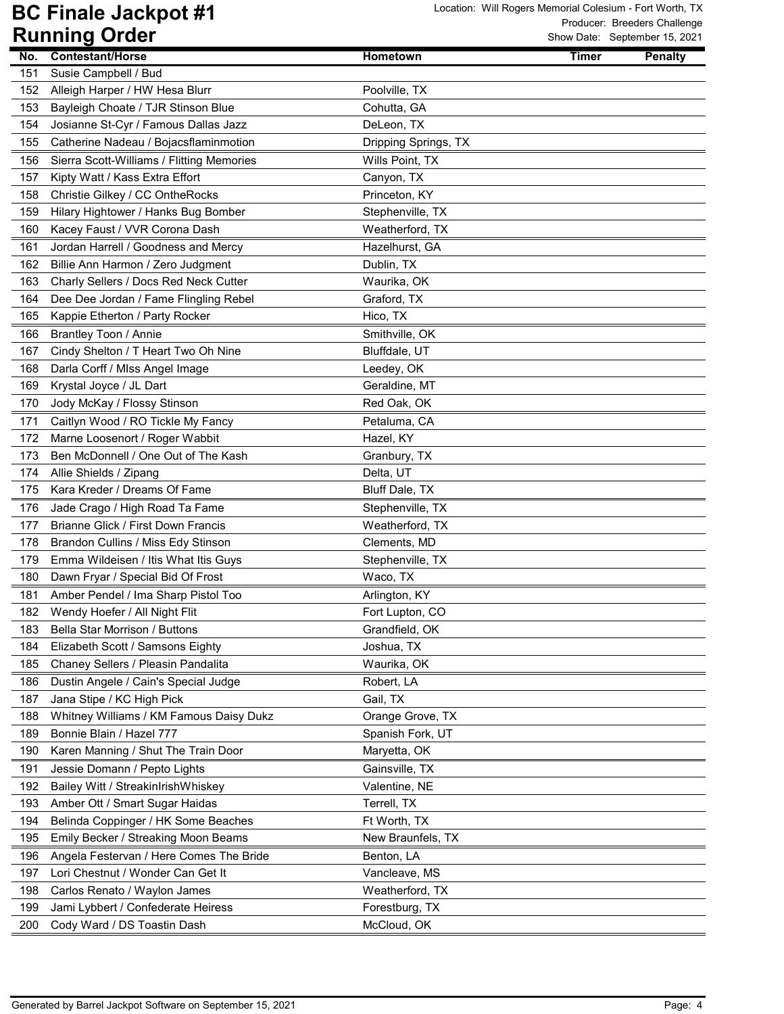|     | ושטוש שומווויוש                           |                      |              | STOW Date. September 13, 2021 |
|-----|-------------------------------------------|----------------------|--------------|-------------------------------|
| No. | Contestant/Horse                          | Hometown             | <b>Timer</b> | <b>Penalty</b>                |
| 151 | Susie Campbell / Bud                      |                      |              |                               |
| 152 | Alleigh Harper / HW Hesa Blurr            | Poolville, TX        |              |                               |
| 153 | Bayleigh Choate / TJR Stinson Blue        | Cohutta, GA          |              |                               |
| 154 | Josianne St-Cyr / Famous Dallas Jazz      | DeLeon, TX           |              |                               |
| 155 | Catherine Nadeau / Bojacsflaminmotion     | Dripping Springs, TX |              |                               |
| 156 | Sierra Scott-Williams / Flitting Memories | Wills Point, TX      |              |                               |
| 157 | Kipty Watt / Kass Extra Effort            | Canyon, TX           |              |                               |
| 158 | Christie Gilkey / CC OntheRocks           | Princeton, KY        |              |                               |
| 159 | Hilary Hightower / Hanks Bug Bomber       | Stephenville, TX     |              |                               |
| 160 | Kacey Faust / VVR Corona Dash             | Weatherford, TX      |              |                               |
| 161 | Jordan Harrell / Goodness and Mercy       | Hazelhurst, GA       |              |                               |
| 162 | Billie Ann Harmon / Zero Judgment         | Dublin, TX           |              |                               |
| 163 | Charly Sellers / Docs Red Neck Cutter     | Waurika, OK          |              |                               |
| 164 | Dee Dee Jordan / Fame Flingling Rebel     | Graford, TX          |              |                               |
| 165 | Kappie Etherton / Party Rocker            | Hico, TX             |              |                               |
| 166 | Brantley Toon / Annie                     | Smithville, OK       |              |                               |
| 167 | Cindy Shelton / T Heart Two Oh Nine       | Bluffdale, UT        |              |                               |
| 168 | Darla Corff / MIss Angel Image            | Leedey, OK           |              |                               |
| 169 | Krystal Joyce / JL Dart                   | Geraldine, MT        |              |                               |
| 170 | Jody McKay / Flossy Stinson               | Red Oak, OK          |              |                               |
| 171 | Caitlyn Wood / RO Tickle My Fancy         | Petaluma, CA         |              |                               |
| 172 | Marne Loosenort / Roger Wabbit            | Hazel, KY            |              |                               |
| 173 | Ben McDonnell / One Out of The Kash       | Granbury, TX         |              |                               |
| 174 | Allie Shields / Zipang                    | Delta, UT            |              |                               |
| 175 | Kara Kreder / Dreams Of Fame              | Bluff Dale, TX       |              |                               |
| 176 | Jade Crago / High Road Ta Fame            | Stephenville, TX     |              |                               |
| 177 | Brianne Glick / First Down Francis        | Weatherford, TX      |              |                               |
| 178 | Brandon Cullins / Miss Edy Stinson        | Clements, MD         |              |                               |
| 179 | Emma Wildeisen / Itis What Itis Guys      | Stephenville, TX     |              |                               |
| 180 | Dawn Fryar / Special Bid Of Frost         | Waco, TX             |              |                               |
| 181 | Amber Pendel / Ima Sharp Pistol Too       | Arlington, KY        |              |                               |
| 182 | Wendy Hoefer / All Night Flit             | Fort Lupton, CO      |              |                               |
| 183 | Bella Star Morrison / Buttons             | Grandfield, OK       |              |                               |
| 184 | Elizabeth Scott / Samsons Eighty          | Joshua, TX           |              |                               |
| 185 | Chaney Sellers / Pleasin Pandalita        | Waurika, OK          |              |                               |
| 186 | Dustin Angele / Cain's Special Judge      | Robert, LA           |              |                               |
| 187 | Jana Stipe / KC High Pick                 | Gail, TX             |              |                               |
| 188 | Whitney Williams / KM Famous Daisy Dukz   | Orange Grove, TX     |              |                               |
| 189 | Bonnie Blain / Hazel 777                  | Spanish Fork, UT     |              |                               |
| 190 | Karen Manning / Shut The Train Door       | Maryetta, OK         |              |                               |
| 191 | Jessie Domann / Pepto Lights              | Gainsville, TX       |              |                               |
| 192 | Bailey Witt / StreakinIrishWhiskey        | Valentine, NE        |              |                               |
| 193 | Amber Ott / Smart Sugar Haidas            | Terrell, TX          |              |                               |
| 194 | Belinda Coppinger / HK Some Beaches       | Ft Worth, TX         |              |                               |
| 195 | Emily Becker / Streaking Moon Beams       | New Braunfels, TX    |              |                               |
| 196 | Angela Festervan / Here Comes The Bride   | Benton, LA           |              |                               |
| 197 | Lori Chestnut / Wonder Can Get It         | Vancleave, MS        |              |                               |
| 198 | Carlos Renato / Waylon James              | Weatherford, TX      |              |                               |
| 199 | Jami Lybbert / Confederate Heiress        | Forestburg, TX       |              |                               |
| 200 | Cody Ward / DS Toastin Dash               | McCloud, OK          |              |                               |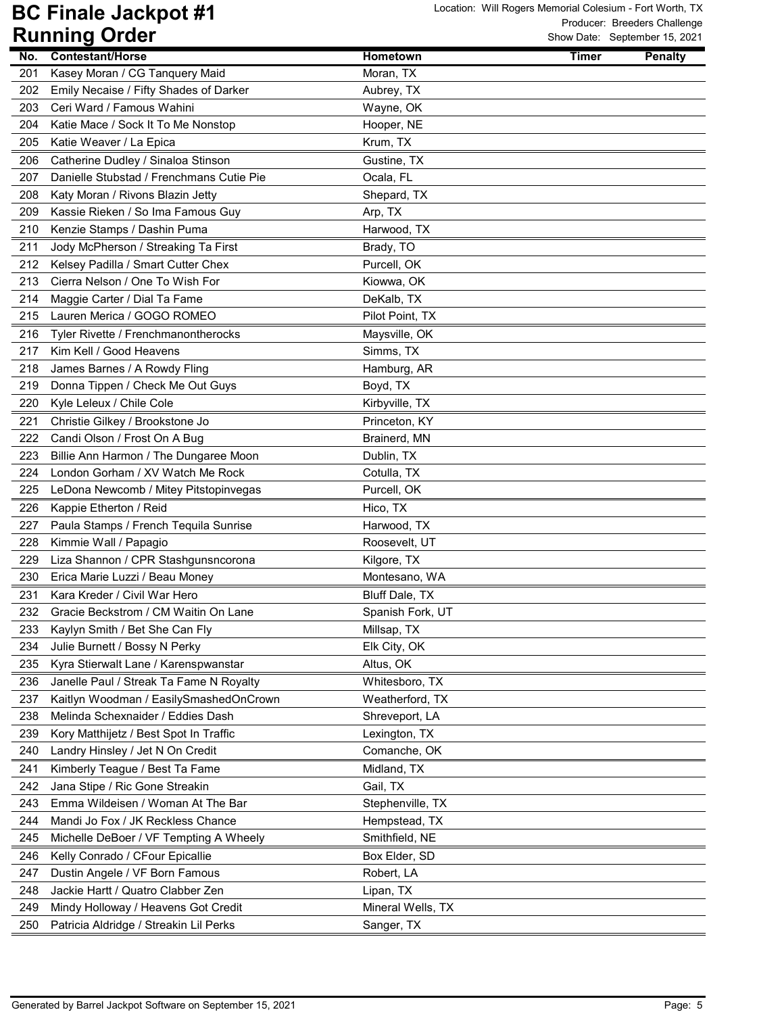| No. | Contestant/Horse                         | <b>Hometown</b>   | <b>Timer</b> | <b>Penalty</b> |
|-----|------------------------------------------|-------------------|--------------|----------------|
| 201 | Kasey Moran / CG Tanquery Maid           | Moran, TX         |              |                |
| 202 | Emily Necaise / Fifty Shades of Darker   | Aubrey, TX        |              |                |
| 203 | Ceri Ward / Famous Wahini                | Wayne, OK         |              |                |
| 204 | Katie Mace / Sock It To Me Nonstop       | Hooper, NE        |              |                |
| 205 | Katie Weaver / La Epica                  | Krum, TX          |              |                |
| 206 | Catherine Dudley / Sinaloa Stinson       | Gustine, TX       |              |                |
| 207 | Danielle Stubstad / Frenchmans Cutie Pie | Ocala, FL         |              |                |
| 208 | Katy Moran / Rivons Blazin Jetty         | Shepard, TX       |              |                |
| 209 | Kassie Rieken / So Ima Famous Guy        | Arp, TX           |              |                |
| 210 | Kenzie Stamps / Dashin Puma              | Harwood, TX       |              |                |
| 211 | Jody McPherson / Streaking Ta First      | Brady, TO         |              |                |
| 212 | Kelsey Padilla / Smart Cutter Chex       | Purcell, OK       |              |                |
| 213 | Cierra Nelson / One To Wish For          | Kiowwa, OK        |              |                |
| 214 | Maggie Carter / Dial Ta Fame             | DeKalb, TX        |              |                |
| 215 | Lauren Merica / GOGO ROMEO               | Pilot Point, TX   |              |                |
| 216 | Tyler Rivette / Frenchmanontherocks      | Maysville, OK     |              |                |
| 217 | Kim Kell / Good Heavens                  | Simms, TX         |              |                |
| 218 | James Barnes / A Rowdy Fling             | Hamburg, AR       |              |                |
| 219 | Donna Tippen / Check Me Out Guys         | Boyd, TX          |              |                |
| 220 | Kyle Leleux / Chile Cole                 | Kirbyville, TX    |              |                |
| 221 | Christie Gilkey / Brookstone Jo          | Princeton, KY     |              |                |
| 222 | Candi Olson / Frost On A Bug             | Brainerd, MN      |              |                |
| 223 | Billie Ann Harmon / The Dungaree Moon    | Dublin, TX        |              |                |
| 224 | London Gorham / XV Watch Me Rock         | Cotulla, TX       |              |                |
| 225 | LeDona Newcomb / Mitey Pitstopinvegas    | Purcell, OK       |              |                |
| 226 | Kappie Etherton / Reid                   | Hico, TX          |              |                |
| 227 | Paula Stamps / French Tequila Sunrise    | Harwood, TX       |              |                |
| 228 | Kimmie Wall / Papagio                    | Roosevelt, UT     |              |                |
| 229 | Liza Shannon / CPR Stashgunsncorona      | Kilgore, TX       |              |                |
| 230 | Erica Marie Luzzi / Beau Money           | Montesano, WA     |              |                |
| 231 | Kara Kreder / Civil War Hero             | Bluff Dale, TX    |              |                |
| 232 | Gracie Beckstrom / CM Waitin On Lane     | Spanish Fork, UT  |              |                |
| 233 | Kaylyn Smith / Bet She Can Fly           | Millsap, TX       |              |                |
| 234 | Julie Burnett / Bossy N Perky            | Elk City, OK      |              |                |
| 235 | Kyra Stierwalt Lane / Karenspwanstar     | Altus, OK         |              |                |
| 236 | Janelle Paul / Streak Ta Fame N Royalty  | Whitesboro, TX    |              |                |
| 237 | Kaitlyn Woodman / EasilySmashedOnCrown   | Weatherford, TX   |              |                |
| 238 | Melinda Schexnaider / Eddies Dash        | Shreveport, LA    |              |                |
| 239 | Kory Matthijetz / Best Spot In Traffic   | Lexington, TX     |              |                |
| 240 | Landry Hinsley / Jet N On Credit         | Comanche, OK      |              |                |
| 241 | Kimberly Teague / Best Ta Fame           | Midland, TX       |              |                |
| 242 | Jana Stipe / Ric Gone Streakin           | Gail, TX          |              |                |
| 243 | Emma Wildeisen / Woman At The Bar        | Stephenville, TX  |              |                |
| 244 | Mandi Jo Fox / JK Reckless Chance        | Hempstead, TX     |              |                |
| 245 | Michelle DeBoer / VF Tempting A Wheely   | Smithfield, NE    |              |                |
| 246 | Kelly Conrado / CFour Epicallie          | Box Elder, SD     |              |                |
| 247 | Dustin Angele / VF Born Famous           | Robert, LA        |              |                |
| 248 | Jackie Hartt / Quatro Clabber Zen        | Lipan, TX         |              |                |
| 249 | Mindy Holloway / Heavens Got Credit      | Mineral Wells, TX |              |                |
| 250 | Patricia Aldridge / Streakin Lil Perks   | Sanger, TX        |              |                |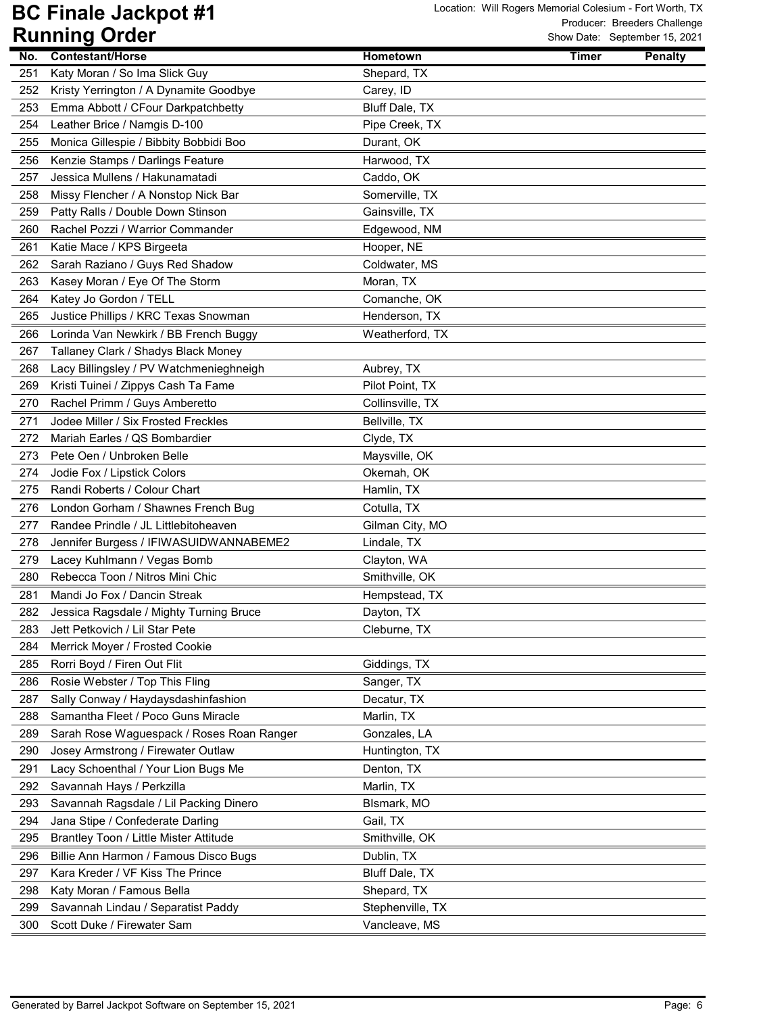|            | ישטיש שויייייייייי                                                        |                           |              | OTIOW Date: Oepterment 19, 2021 |
|------------|---------------------------------------------------------------------------|---------------------------|--------------|---------------------------------|
| No.        | <b>Contestant/Horse</b>                                                   | <b>Hometown</b>           | <b>Timer</b> | <b>Penalty</b>                  |
| 251        | Katy Moran / So Ima Slick Guy                                             | Shepard, TX               |              |                                 |
| 252        | Kristy Yerrington / A Dynamite Goodbye                                    | Carey, ID                 |              |                                 |
| 253        | Emma Abbott / CFour Darkpatchbetty                                        | Bluff Dale, TX            |              |                                 |
| 254        | Leather Brice / Namgis D-100                                              | Pipe Creek, TX            |              |                                 |
| 255        | Monica Gillespie / Bibbity Bobbidi Boo                                    | Durant, OK                |              |                                 |
| 256        | Kenzie Stamps / Darlings Feature                                          | Harwood, TX               |              |                                 |
| 257        | Jessica Mullens / Hakunamatadi                                            | Caddo, OK                 |              |                                 |
| 258        | Missy Flencher / A Nonstop Nick Bar                                       | Somerville, TX            |              |                                 |
| 259        | Patty Ralls / Double Down Stinson                                         | Gainsville, TX            |              |                                 |
| 260        | Rachel Pozzi / Warrior Commander                                          | Edgewood, NM              |              |                                 |
| 261        | Katie Mace / KPS Birgeeta                                                 | Hooper, NE                |              |                                 |
| 262        | Sarah Raziano / Guys Red Shadow                                           | Coldwater, MS             |              |                                 |
| 263        | Kasey Moran / Eye Of The Storm                                            | Moran, TX                 |              |                                 |
| 264        | Katey Jo Gordon / TELL                                                    | Comanche, OK              |              |                                 |
| 265        | Justice Phillips / KRC Texas Snowman                                      | Henderson, TX             |              |                                 |
| 266        | Lorinda Van Newkirk / BB French Buggy                                     | Weatherford, TX           |              |                                 |
| 267        | Tallaney Clark / Shadys Black Money                                       |                           |              |                                 |
| 268        | Lacy Billingsley / PV Watchmenieghneigh                                   | Aubrey, TX                |              |                                 |
| 269        | Kristi Tuinei / Zippys Cash Ta Fame                                       | Pilot Point, TX           |              |                                 |
| 270        | Rachel Primm / Guys Amberetto                                             | Collinsville, TX          |              |                                 |
| 271        | Jodee Miller / Six Frosted Freckles                                       | Bellville, TX             |              |                                 |
| 272        | Mariah Earles / QS Bombardier                                             | Clyde, TX                 |              |                                 |
| 273        | Pete Oen / Unbroken Belle                                                 | Maysville, OK             |              |                                 |
| 274        | Jodie Fox / Lipstick Colors                                               | Okemah, OK                |              |                                 |
| 275        | Randi Roberts / Colour Chart                                              | Hamlin, TX                |              |                                 |
| 276        | London Gorham / Shawnes French Bug                                        | Cotulla, TX               |              |                                 |
| 277        | Randee Prindle / JL Littlebitoheaven                                      | Gilman City, MO           |              |                                 |
| 278        | Jennifer Burgess / IFIWASUIDWANNABEME2                                    | Lindale, TX               |              |                                 |
| 279        | Lacey Kuhlmann / Vegas Bomb                                               | Clayton, WA               |              |                                 |
| 280        | Rebecca Toon / Nitros Mini Chic                                           | Smithville, OK            |              |                                 |
| 281        | Mandi Jo Fox / Dancin Streak                                              | Hempstead, TX             |              |                                 |
| 282        | Jessica Ragsdale / Mighty Turning Bruce                                   | Dayton, TX                |              |                                 |
| 283        | Jett Petkovich / Lil Star Pete                                            | Cleburne, TX              |              |                                 |
| 284        | Merrick Moyer / Frosted Cookie                                            |                           |              |                                 |
| 285        | Rorri Boyd / Firen Out Flit                                               | Giddings, TX              |              |                                 |
| 286        | Rosie Webster / Top This Fling                                            | Sanger, TX                |              |                                 |
|            |                                                                           |                           |              |                                 |
| 287<br>288 | Sally Conway / Haydaysdashinfashion<br>Samantha Fleet / Poco Guns Miracle | Decatur, TX<br>Marlin, TX |              |                                 |
|            |                                                                           |                           |              |                                 |
| 289<br>290 | Sarah Rose Waguespack / Roses Roan Ranger                                 | Gonzales, LA              |              |                                 |
|            | Josey Armstrong / Firewater Outlaw                                        | Huntington, TX            |              |                                 |
| 291        | Lacy Schoenthal / Your Lion Bugs Me                                       | Denton, TX                |              |                                 |
| 292        | Savannah Hays / Perkzilla                                                 | Marlin, TX                |              |                                 |
| 293        | Savannah Ragsdale / Lil Packing Dinero                                    | BIsmark, MO               |              |                                 |
| 294        | Jana Stipe / Confederate Darling                                          | Gail, TX                  |              |                                 |
| 295        | Brantley Toon / Little Mister Attitude                                    | Smithville, OK            |              |                                 |
| 296        | Billie Ann Harmon / Famous Disco Bugs                                     | Dublin, TX                |              |                                 |
| 297        | Kara Kreder / VF Kiss The Prince                                          | Bluff Dale, TX            |              |                                 |
| 298        | Katy Moran / Famous Bella                                                 | Shepard, TX               |              |                                 |
| 299        | Savannah Lindau / Separatist Paddy                                        | Stephenville, TX          |              |                                 |
| 300        | Scott Duke / Firewater Sam                                                | Vancleave, MS             |              |                                 |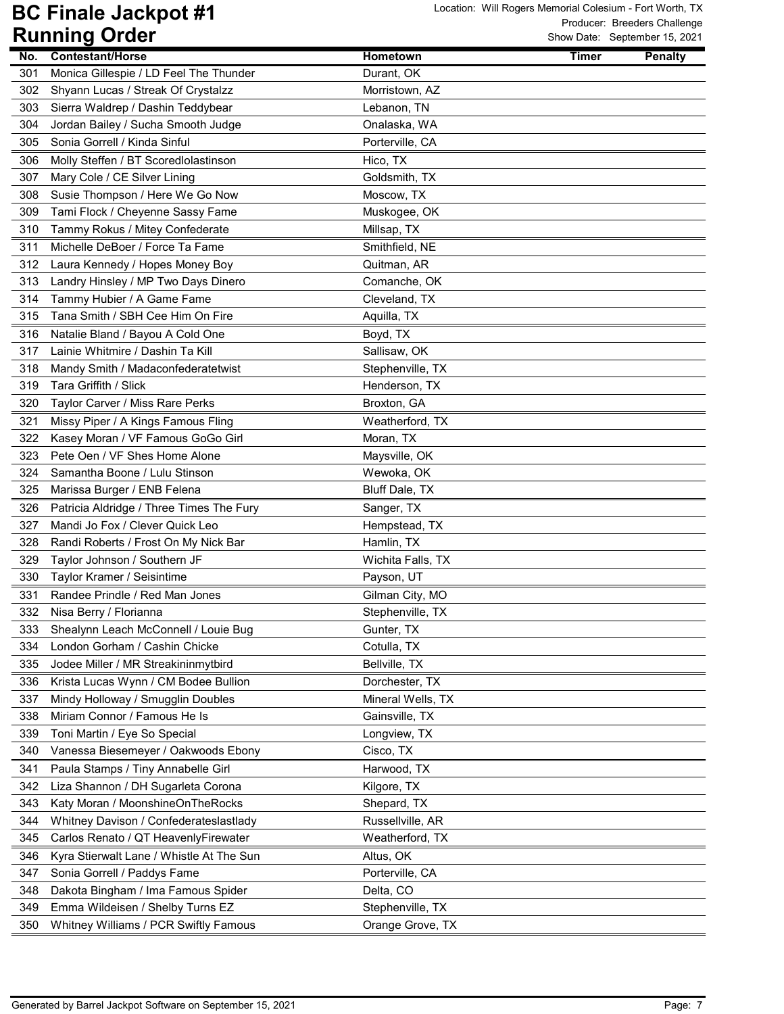|     | . .u<br>$\mathbf{v}$ ave                 |                   |              | OTIOW Date: Ocpterment To, 2021 |
|-----|------------------------------------------|-------------------|--------------|---------------------------------|
| No. | <b>Contestant/Horse</b>                  | Hometown          | <b>Timer</b> | <b>Penalty</b>                  |
| 301 | Monica Gillespie / LD Feel The Thunder   | Durant, OK        |              |                                 |
| 302 | Shyann Lucas / Streak Of Crystalzz       | Morristown, AZ    |              |                                 |
| 303 | Sierra Waldrep / Dashin Teddybear        | Lebanon, TN       |              |                                 |
| 304 | Jordan Bailey / Sucha Smooth Judge       | Onalaska, WA      |              |                                 |
| 305 | Sonia Gorrell / Kinda Sinful             | Porterville, CA   |              |                                 |
| 306 | Molly Steffen / BT Scoredlolastinson     | Hico, TX          |              |                                 |
| 307 | Mary Cole / CE Silver Lining             | Goldsmith, TX     |              |                                 |
| 308 | Susie Thompson / Here We Go Now          | Moscow, TX        |              |                                 |
| 309 | Tami Flock / Cheyenne Sassy Fame         | Muskogee, OK      |              |                                 |
| 310 | Tammy Rokus / Mitey Confederate          | Millsap, TX       |              |                                 |
| 311 | Michelle DeBoer / Force Ta Fame          | Smithfield, NE    |              |                                 |
| 312 | Laura Kennedy / Hopes Money Boy          | Quitman, AR       |              |                                 |
| 313 | Landry Hinsley / MP Two Days Dinero      | Comanche, OK      |              |                                 |
| 314 | Tammy Hubier / A Game Fame               | Cleveland, TX     |              |                                 |
| 315 | Tana Smith / SBH Cee Him On Fire         | Aquilla, TX       |              |                                 |
| 316 | Natalie Bland / Bayou A Cold One         | Boyd, TX          |              |                                 |
| 317 | Lainie Whitmire / Dashin Ta Kill         | Sallisaw, OK      |              |                                 |
| 318 | Mandy Smith / Madaconfederatetwist       | Stephenville, TX  |              |                                 |
| 319 | Tara Griffith / Slick                    | Henderson, TX     |              |                                 |
| 320 | Taylor Carver / Miss Rare Perks          | Broxton, GA       |              |                                 |
| 321 | Missy Piper / A Kings Famous Fling       | Weatherford, TX   |              |                                 |
| 322 | Kasey Moran / VF Famous GoGo Girl        | Moran, TX         |              |                                 |
| 323 | Pete Oen / VF Shes Home Alone            | Maysville, OK     |              |                                 |
| 324 | Samantha Boone / Lulu Stinson            | Wewoka, OK        |              |                                 |
| 325 | Marissa Burger / ENB Felena              | Bluff Dale, TX    |              |                                 |
| 326 | Patricia Aldridge / Three Times The Fury | Sanger, TX        |              |                                 |
| 327 | Mandi Jo Fox / Clever Quick Leo          | Hempstead, TX     |              |                                 |
| 328 | Randi Roberts / Frost On My Nick Bar     | Hamlin, TX        |              |                                 |
| 329 | Taylor Johnson / Southern JF             | Wichita Falls, TX |              |                                 |
| 330 | Taylor Kramer / Seisintime               | Payson, UT        |              |                                 |
| 331 | Randee Prindle / Red Man Jones           | Gilman City, MO   |              |                                 |
| 332 | Nisa Berry / Florianna                   | Stephenville, TX  |              |                                 |
| 333 | Shealynn Leach McConnell / Louie Bug     | Gunter, TX        |              |                                 |
| 334 | London Gorham / Cashin Chicke            | Cotulla, TX       |              |                                 |
| 335 | Jodee Miller / MR Streakininmytbird      | Bellville, TX     |              |                                 |
| 336 | Krista Lucas Wynn / CM Bodee Bullion     | Dorchester, TX    |              |                                 |
| 337 | Mindy Holloway / Smugglin Doubles        | Mineral Wells, TX |              |                                 |
| 338 | Miriam Connor / Famous He Is             | Gainsville, TX    |              |                                 |
| 339 | Toni Martin / Eye So Special             | Longview, TX      |              |                                 |
| 340 | Vanessa Biesemeyer / Oakwoods Ebony      | Cisco, TX         |              |                                 |
| 341 | Paula Stamps / Tiny Annabelle Girl       | Harwood, TX       |              |                                 |
| 342 | Liza Shannon / DH Sugarleta Corona       | Kilgore, TX       |              |                                 |
| 343 | Katy Moran / MoonshineOnTheRocks         | Shepard, TX       |              |                                 |
| 344 | Whitney Davison / Confederateslastlady   | Russellville, AR  |              |                                 |
| 345 | Carlos Renato / QT HeavenlyFirewater     | Weatherford, TX   |              |                                 |
| 346 | Kyra Stierwalt Lane / Whistle At The Sun | Altus, OK         |              |                                 |
| 347 | Sonia Gorrell / Paddys Fame              | Porterville, CA   |              |                                 |
| 348 | Dakota Bingham / Ima Famous Spider       | Delta, CO         |              |                                 |
| 349 | Emma Wildeisen / Shelby Turns EZ         | Stephenville, TX  |              |                                 |
| 350 | Whitney Williams / PCR Swiftly Famous    | Orange Grove, TX  |              |                                 |
|     |                                          |                   |              |                                 |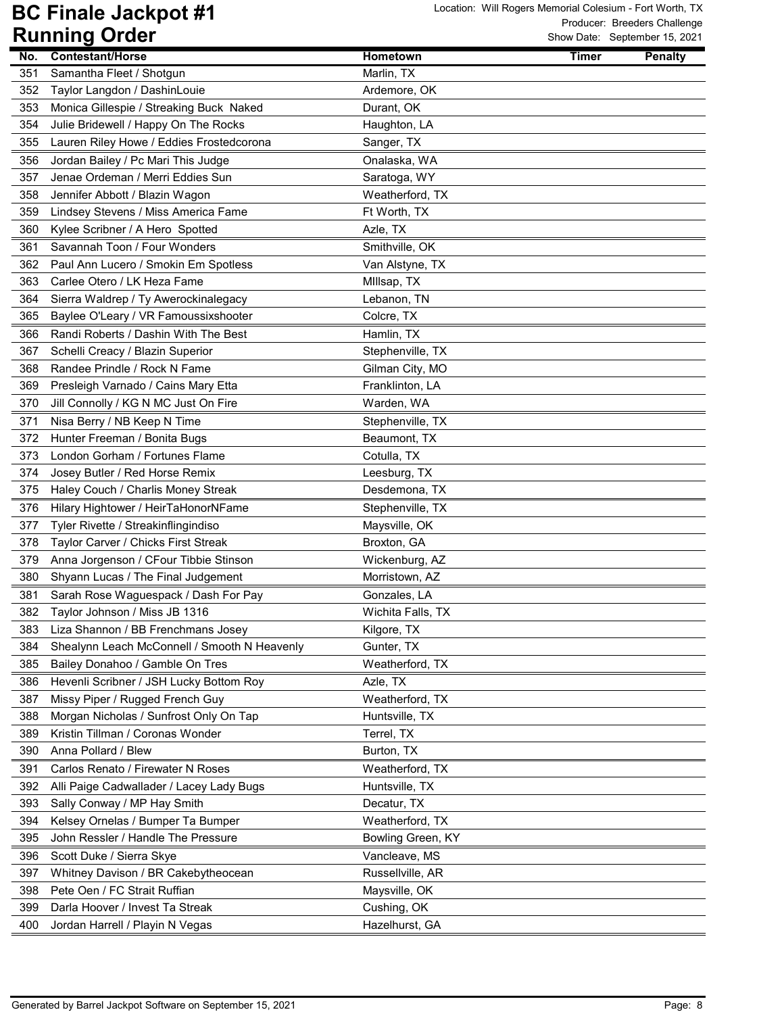|     | ישטיש שומויייש                               |                   | OTIOW Date: Oepterment JJ, 2021 |                |
|-----|----------------------------------------------|-------------------|---------------------------------|----------------|
| No. | <b>Contestant/Horse</b>                      | <b>Hometown</b>   | <b>Timer</b>                    | <b>Penalty</b> |
| 351 | Samantha Fleet / Shotgun                     | Marlin, TX        |                                 |                |
| 352 | Taylor Langdon / DashinLouie                 | Ardemore, OK      |                                 |                |
| 353 | Monica Gillespie / Streaking Buck Naked      | Durant, OK        |                                 |                |
| 354 | Julie Bridewell / Happy On The Rocks         | Haughton, LA      |                                 |                |
| 355 | Lauren Riley Howe / Eddies Frostedcorona     | Sanger, TX        |                                 |                |
| 356 | Jordan Bailey / Pc Mari This Judge           | Onalaska, WA      |                                 |                |
| 357 | Jenae Ordeman / Merri Eddies Sun             | Saratoga, WY      |                                 |                |
| 358 | Jennifer Abbott / Blazin Wagon               | Weatherford, TX   |                                 |                |
| 359 | Lindsey Stevens / Miss America Fame          | Ft Worth, TX      |                                 |                |
| 360 | Kylee Scribner / A Hero Spotted              | Azle, TX          |                                 |                |
| 361 | Savannah Toon / Four Wonders                 | Smithville, OK    |                                 |                |
| 362 | Paul Ann Lucero / Smokin Em Spotless         | Van Alstyne, TX   |                                 |                |
| 363 | Carlee Otero / LK Heza Fame                  | Millsap, TX       |                                 |                |
| 364 | Sierra Waldrep / Ty Awerockinalegacy         | Lebanon, TN       |                                 |                |
| 365 | Baylee O'Leary / VR Famoussixshooter         | Colcre, TX        |                                 |                |
| 366 | Randi Roberts / Dashin With The Best         | Hamlin, TX        |                                 |                |
| 367 | Schelli Creacy / Blazin Superior             | Stephenville, TX  |                                 |                |
| 368 | Randee Prindle / Rock N Fame                 | Gilman City, MO   |                                 |                |
| 369 | Presleigh Varnado / Cains Mary Etta          | Franklinton, LA   |                                 |                |
| 370 | Jill Connolly / KG N MC Just On Fire         | Warden, WA        |                                 |                |
| 371 | Nisa Berry / NB Keep N Time                  | Stephenville, TX  |                                 |                |
| 372 | Hunter Freeman / Bonita Bugs                 | Beaumont, TX      |                                 |                |
| 373 | London Gorham / Fortunes Flame               | Cotulla, TX       |                                 |                |
| 374 | Josey Butler / Red Horse Remix               | Leesburg, TX      |                                 |                |
| 375 | Haley Couch / Charlis Money Streak           | Desdemona, TX     |                                 |                |
| 376 | Hilary Hightower / HeirTaHonorNFame          | Stephenville, TX  |                                 |                |
| 377 | Tyler Rivette / Streakinflingindiso          | Maysville, OK     |                                 |                |
| 378 | Taylor Carver / Chicks First Streak          | Broxton, GA       |                                 |                |
| 379 | Anna Jorgenson / CFour Tibbie Stinson        | Wickenburg, AZ    |                                 |                |
| 380 | Shyann Lucas / The Final Judgement           | Morristown, AZ    |                                 |                |
| 381 | Sarah Rose Waguespack / Dash For Pay         | Gonzales, LA      |                                 |                |
| 382 | Taylor Johnson / Miss JB 1316                | Wichita Falls, TX |                                 |                |
| 383 | Liza Shannon / BB Frenchmans Josey           | Kilgore, TX       |                                 |                |
| 384 | Shealynn Leach McConnell / Smooth N Heavenly | Gunter, TX        |                                 |                |
| 385 | Bailey Donahoo / Gamble On Tres              | Weatherford, TX   |                                 |                |
| 386 | Hevenli Scribner / JSH Lucky Bottom Roy      | Azle, TX          |                                 |                |
| 387 | Missy Piper / Rugged French Guy              | Weatherford, TX   |                                 |                |
| 388 | Morgan Nicholas / Sunfrost Only On Tap       | Huntsville, TX    |                                 |                |
| 389 | Kristin Tillman / Coronas Wonder             | Terrel, TX        |                                 |                |
| 390 | Anna Pollard / Blew                          | Burton, TX        |                                 |                |
| 391 | Carlos Renato / Firewater N Roses            | Weatherford, TX   |                                 |                |
| 392 | Alli Paige Cadwallader / Lacey Lady Bugs     | Huntsville, TX    |                                 |                |
| 393 | Sally Conway / MP Hay Smith                  | Decatur, TX       |                                 |                |
| 394 | Kelsey Ornelas / Bumper Ta Bumper            | Weatherford, TX   |                                 |                |
| 395 | John Ressler / Handle The Pressure           | Bowling Green, KY |                                 |                |
| 396 | Scott Duke / Sierra Skye                     | Vancleave, MS     |                                 |                |
| 397 | Whitney Davison / BR Cakebytheocean          | Russellville, AR  |                                 |                |
| 398 | Pete Oen / FC Strait Ruffian                 | Maysville, OK     |                                 |                |
| 399 | Darla Hoover / Invest Ta Streak              | Cushing, OK       |                                 |                |
| 400 | Jordan Harrell / Playin N Vegas              | Hazelhurst, GA    |                                 |                |
|     |                                              |                   |                                 |                |